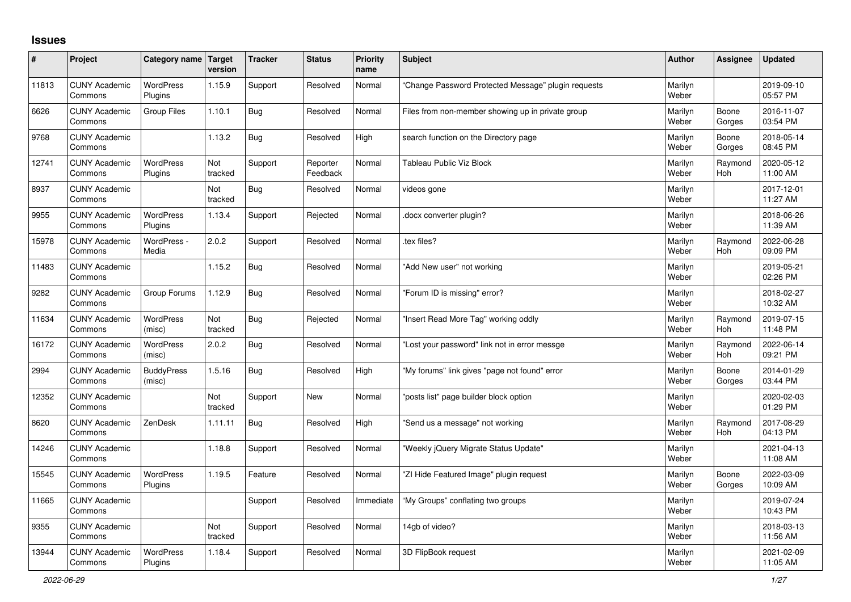## **Issues**

| #     | Project                         | Category name Target        | version               | <b>Tracker</b> | <b>Status</b>        | <b>Priority</b><br>name | <b>Subject</b>                                     | <b>Author</b>    | Assignee              | <b>Updated</b>         |
|-------|---------------------------------|-----------------------------|-----------------------|----------------|----------------------|-------------------------|----------------------------------------------------|------------------|-----------------------|------------------------|
| 11813 | <b>CUNY Academic</b><br>Commons | <b>WordPress</b><br>Plugins | 1.15.9                | Support        | Resolved             | Normal                  | Change Password Protected Message" plugin requests | Marilyn<br>Weber |                       | 2019-09-10<br>05:57 PM |
| 6626  | <b>CUNY Academic</b><br>Commons | Group Files                 | 1.10.1                | Bug            | Resolved             | Normal                  | Files from non-member showing up in private group  | Marilyn<br>Weber | Boone<br>Gorges       | 2016-11-07<br>03:54 PM |
| 9768  | <b>CUNY Academic</b><br>Commons |                             | 1.13.2                | Bug            | Resolved             | High                    | search function on the Directory page              | Marilyn<br>Weber | Boone<br>Gorges       | 2018-05-14<br>08:45 PM |
| 12741 | <b>CUNY Academic</b><br>Commons | <b>WordPress</b><br>Plugins | Not<br>tracked        | Support        | Reporter<br>Feedback | Normal                  | <b>Tableau Public Viz Block</b>                    | Marilyn<br>Weber | Raymond<br>Hoh        | 2020-05-12<br>11:00 AM |
| 8937  | <b>CUNY Academic</b><br>Commons |                             | Not<br>tracked        | Bug            | Resolved             | Normal                  | videos gone                                        | Marilyn<br>Weber |                       | 2017-12-01<br>11:27 AM |
| 9955  | <b>CUNY Academic</b><br>Commons | <b>WordPress</b><br>Plugins | 1.13.4                | Support        | Rejected             | Normal                  | docx converter plugin?                             | Marilyn<br>Weber |                       | 2018-06-26<br>11:39 AM |
| 15978 | <b>CUNY Academic</b><br>Commons | WordPress -<br>Media        | 2.0.2                 | Support        | Resolved             | Normal                  | tex files?                                         | Marilyn<br>Weber | Raymond<br>Hoh        | 2022-06-28<br>09:09 PM |
| 11483 | <b>CUNY Academic</b><br>Commons |                             | 1.15.2                | <b>Bug</b>     | Resolved             | Normal                  | "Add New user" not working                         | Marilyn<br>Weber |                       | 2019-05-21<br>02:26 PM |
| 9282  | <b>CUNY Academic</b><br>Commons | Group Forums                | 1.12.9                | Bug            | Resolved             | Normal                  | "Forum ID is missing" error?                       | Marilyn<br>Weber |                       | 2018-02-27<br>10:32 AM |
| 11634 | <b>CUNY Academic</b><br>Commons | <b>WordPress</b><br>(misc)  | <b>Not</b><br>tracked | Bug            | Rejected             | Normal                  | 'Insert Read More Tag" working oddly               | Marilyn<br>Weber | Raymond<br>Hoh        | 2019-07-15<br>11:48 PM |
| 16172 | <b>CUNY Academic</b><br>Commons | <b>WordPress</b><br>(misc)  | 2.0.2                 | Bug            | Resolved             | Normal                  | 'Lost your password" link not in error messge      | Marilyn<br>Weber | Raymond<br><b>Hoh</b> | 2022-06-14<br>09:21 PM |
| 2994  | <b>CUNY Academic</b><br>Commons | <b>BuddyPress</b><br>(misc) | 1.5.16                | Bug            | Resolved             | High                    | 'My forums" link gives "page not found" error      | Marilyn<br>Weber | Boone<br>Gorges       | 2014-01-29<br>03:44 PM |
| 12352 | <b>CUNY Academic</b><br>Commons |                             | Not<br>tracked        | Support        | <b>New</b>           | Normal                  | 'posts list" page builder block option             | Marilyn<br>Weber |                       | 2020-02-03<br>01:29 PM |
| 8620  | <b>CUNY Academic</b><br>Commons | ZenDesk                     | 1.11.11               | Bug            | Resolved             | High                    | 'Send us a message" not working                    | Marilyn<br>Weber | Raymond<br>Hoh        | 2017-08-29<br>04:13 PM |
| 14246 | <b>CUNY Academic</b><br>Commons |                             | 1.18.8                | Support        | Resolved             | Normal                  | 'Weekly jQuery Migrate Status Update"              | Marilyn<br>Weber |                       | 2021-04-13<br>11:08 AM |
| 15545 | <b>CUNY Academic</b><br>Commons | <b>WordPress</b><br>Plugins | 1.19.5                | Feature        | Resolved             | Normal                  | 'ZI Hide Featured Image" plugin request            | Marilyn<br>Weber | Boone<br>Gorges       | 2022-03-09<br>10:09 AM |
| 11665 | <b>CUNY Academic</b><br>Commons |                             |                       | Support        | Resolved             | Immediate               | 'My Groups" conflating two groups                  | Marilyn<br>Weber |                       | 2019-07-24<br>10:43 PM |
| 9355  | <b>CUNY Academic</b><br>Commons |                             | Not<br>tracked        | Support        | Resolved             | Normal                  | 14gb of video?                                     | Marilyn<br>Weber |                       | 2018-03-13<br>11:56 AM |
| 13944 | <b>CUNY Academic</b><br>Commons | <b>WordPress</b><br>Plugins | 1.18.4                | Support        | Resolved             | Normal                  | 3D FlipBook request                                | Marilyn<br>Weber |                       | 2021-02-09<br>11:05 AM |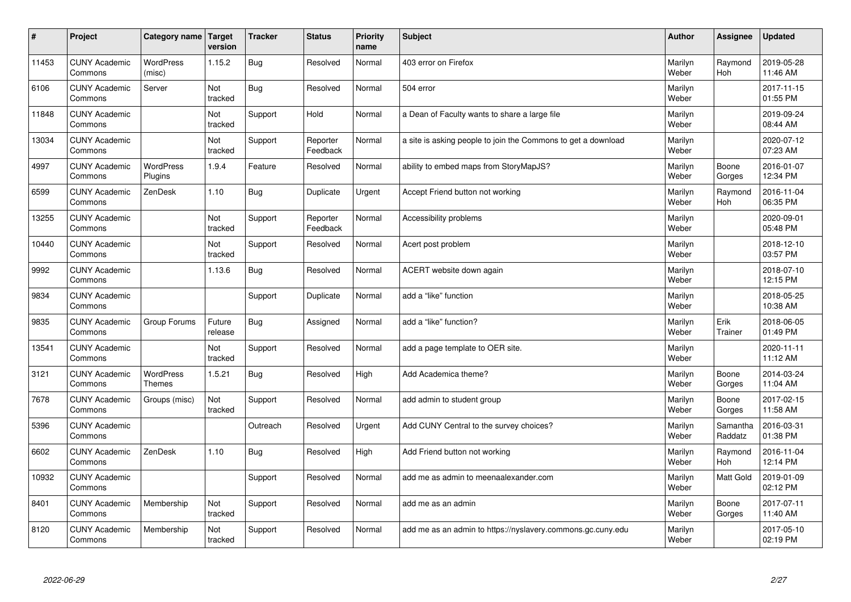| #     | Project                         | Category name   Target            | version           | <b>Tracker</b> | <b>Status</b>        | <b>Priority</b><br>name | <b>Subject</b>                                                | <b>Author</b>    | <b>Assignee</b>     | <b>Updated</b>         |
|-------|---------------------------------|-----------------------------------|-------------------|----------------|----------------------|-------------------------|---------------------------------------------------------------|------------------|---------------------|------------------------|
| 11453 | <b>CUNY Academic</b><br>Commons | <b>WordPress</b><br>(misc)        | 1.15.2            | Bug            | Resolved             | Normal                  | 403 error on Firefox                                          | Marilyn<br>Weber | Raymond<br>Hoh      | 2019-05-28<br>11:46 AM |
| 6106  | <b>CUNY Academic</b><br>Commons | Server                            | Not<br>tracked    | Bug            | Resolved             | Normal                  | 504 error                                                     | Marilyn<br>Weber |                     | 2017-11-15<br>01:55 PM |
| 11848 | <b>CUNY Academic</b><br>Commons |                                   | Not<br>tracked    | Support        | Hold                 | Normal                  | a Dean of Faculty wants to share a large file                 | Marilyn<br>Weber |                     | 2019-09-24<br>08:44 AM |
| 13034 | <b>CUNY Academic</b><br>Commons |                                   | Not<br>tracked    | Support        | Reporter<br>Feedback | Normal                  | a site is asking people to join the Commons to get a download | Marilyn<br>Weber |                     | 2020-07-12<br>07:23 AM |
| 4997  | <b>CUNY Academic</b><br>Commons | <b>WordPress</b><br>Plugins       | 1.9.4             | Feature        | Resolved             | Normal                  | ability to embed maps from StoryMapJS?                        | Marilyn<br>Weber | Boone<br>Gorges     | 2016-01-07<br>12:34 PM |
| 6599  | <b>CUNY Academic</b><br>Commons | ZenDesk                           | 1.10              | Bug            | Duplicate            | Urgent                  | Accept Friend button not working                              | Marilyn<br>Weber | Raymond<br>Hoh      | 2016-11-04<br>06:35 PM |
| 13255 | <b>CUNY Academic</b><br>Commons |                                   | Not<br>tracked    | Support        | Reporter<br>Feedback | Normal                  | Accessibility problems                                        | Marilyn<br>Weber |                     | 2020-09-01<br>05:48 PM |
| 10440 | <b>CUNY Academic</b><br>Commons |                                   | Not<br>tracked    | Support        | Resolved             | Normal                  | Acert post problem                                            | Marilyn<br>Weber |                     | 2018-12-10<br>03:57 PM |
| 9992  | <b>CUNY Academic</b><br>Commons |                                   | 1.13.6            | Bug            | Resolved             | Normal                  | ACERT website down again                                      | Marilyn<br>Weber |                     | 2018-07-10<br>12:15 PM |
| 9834  | <b>CUNY Academic</b><br>Commons |                                   |                   | Support        | Duplicate            | Normal                  | add a "like" function                                         | Marilyn<br>Weber |                     | 2018-05-25<br>10:38 AM |
| 9835  | <b>CUNY Academic</b><br>Commons | Group Forums                      | Future<br>release | Bug            | Assigned             | Normal                  | add a "like" function?                                        | Marilyn<br>Weber | Erik<br>Trainer     | 2018-06-05<br>01:49 PM |
| 13541 | <b>CUNY Academic</b><br>Commons |                                   | Not<br>tracked    | Support        | Resolved             | Normal                  | add a page template to OER site.                              | Marilyn<br>Weber |                     | 2020-11-11<br>11:12 AM |
| 3121  | <b>CUNY Academic</b><br>Commons | <b>WordPress</b><br><b>Themes</b> | 1.5.21            | Bug            | Resolved             | High                    | Add Academica theme?                                          | Marilyn<br>Weber | Boone<br>Gorges     | 2014-03-24<br>11:04 AM |
| 7678  | <b>CUNY Academic</b><br>Commons | Groups (misc)                     | Not<br>tracked    | Support        | Resolved             | Normal                  | add admin to student group                                    | Marilyn<br>Weber | Boone<br>Gorges     | 2017-02-15<br>11:58 AM |
| 5396  | <b>CUNY Academic</b><br>Commons |                                   |                   | Outreach       | Resolved             | Urgent                  | Add CUNY Central to the survey choices?                       | Marilyn<br>Weber | Samantha<br>Raddatz | 2016-03-31<br>01:38 PM |
| 6602  | <b>CUNY Academic</b><br>Commons | ZenDesk                           | 1.10              | Bug            | Resolved             | High                    | Add Friend button not working                                 | Marilyn<br>Weber | Raymond<br>Hoh      | 2016-11-04<br>12:14 PM |
| 10932 | <b>CUNY Academic</b><br>Commons |                                   |                   | Support        | Resolved             | Normal                  | add me as admin to meenaalexander.com                         | Marilyn<br>Weber | Matt Gold           | 2019-01-09<br>02:12 PM |
| 8401  | <b>CUNY Academic</b><br>Commons | Membership                        | Not<br>tracked    | Support        | Resolved             | Normal                  | add me as an admin                                            | Marilyn<br>Weber | Boone<br>Gorges     | 2017-07-11<br>11:40 AM |
| 8120  | <b>CUNY Academic</b><br>Commons | Membership                        | Not<br>tracked    | Support        | Resolved             | Normal                  | add me as an admin to https://nyslavery.commons.gc.cuny.edu   | Marilyn<br>Weber |                     | 2017-05-10<br>02:19 PM |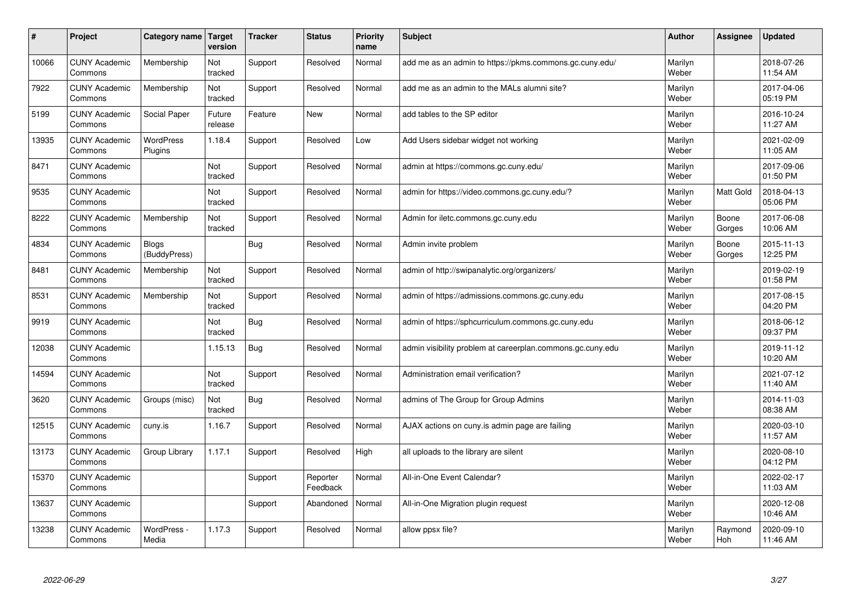| #     | Project                         | Category name   Target       | version           | <b>Tracker</b> | <b>Status</b>        | <b>Priority</b><br>name | <b>Subject</b>                                             | <b>Author</b>    | Assignee         | <b>Updated</b>         |
|-------|---------------------------------|------------------------------|-------------------|----------------|----------------------|-------------------------|------------------------------------------------------------|------------------|------------------|------------------------|
| 10066 | <b>CUNY Academic</b><br>Commons | Membership                   | Not<br>tracked    | Support        | Resolved             | Normal                  | add me as an admin to https://pkms.commons.gc.cuny.edu/    | Marilyn<br>Weber |                  | 2018-07-26<br>11:54 AM |
| 7922  | <b>CUNY Academic</b><br>Commons | Membership                   | Not<br>tracked    | Support        | Resolved             | Normal                  | add me as an admin to the MALs alumni site?                | Marilyn<br>Weber |                  | 2017-04-06<br>05:19 PM |
| 5199  | <b>CUNY Academic</b><br>Commons | Social Paper                 | Future<br>release | Feature        | <b>New</b>           | Normal                  | add tables to the SP editor                                | Marilyn<br>Weber |                  | 2016-10-24<br>11:27 AM |
| 13935 | <b>CUNY Academic</b><br>Commons | <b>WordPress</b><br>Plugins  | 1.18.4            | Support        | Resolved             | Low                     | Add Users sidebar widget not working                       | Marilyn<br>Weber |                  | 2021-02-09<br>11:05 AM |
| 8471  | <b>CUNY Academic</b><br>Commons |                              | Not<br>tracked    | Support        | Resolved             | Normal                  | admin at https://commons.gc.cuny.edu/                      | Marilyn<br>Weber |                  | 2017-09-06<br>01:50 PM |
| 9535  | <b>CUNY Academic</b><br>Commons |                              | Not<br>tracked    | Support        | Resolved             | Normal                  | admin for https://video.commons.gc.cuny.edu/?              | Marilyn<br>Weber | <b>Matt Gold</b> | 2018-04-13<br>05:06 PM |
| 8222  | <b>CUNY Academic</b><br>Commons | Membership                   | Not<br>tracked    | Support        | Resolved             | Normal                  | Admin for iletc.commons.gc.cuny.edu                        | Marilyn<br>Weber | Boone<br>Gorges  | 2017-06-08<br>10:06 AM |
| 4834  | <b>CUNY Academic</b><br>Commons | <b>Blogs</b><br>(BuddyPress) |                   | <b>Bug</b>     | Resolved             | Normal                  | Admin invite problem                                       | Marilyn<br>Weber | Boone<br>Gorges  | 2015-11-13<br>12:25 PM |
| 8481  | <b>CUNY Academic</b><br>Commons | Membership                   | Not<br>tracked    | Support        | Resolved             | Normal                  | admin of http://swipanalytic.org/organizers/               | Marilyn<br>Weber |                  | 2019-02-19<br>01:58 PM |
| 8531  | <b>CUNY Academic</b><br>Commons | Membership                   | Not<br>tracked    | Support        | Resolved             | Normal                  | admin of https://admissions.commons.gc.cuny.edu            | Marilyn<br>Weber |                  | 2017-08-15<br>04:20 PM |
| 9919  | <b>CUNY Academic</b><br>Commons |                              | Not<br>tracked    | Bug            | Resolved             | Normal                  | admin of https://sphcurriculum.commons.gc.cuny.edu         | Marilyn<br>Weber |                  | 2018-06-12<br>09:37 PM |
| 12038 | <b>CUNY Academic</b><br>Commons |                              | 1.15.13           | <b>Bug</b>     | Resolved             | Normal                  | admin visibility problem at careerplan.commons.gc.cuny.edu | Marilyn<br>Weber |                  | 2019-11-12<br>10:20 AM |
| 14594 | <b>CUNY Academic</b><br>Commons |                              | Not<br>tracked    | Support        | Resolved             | Normal                  | Administration email verification?                         | Marilyn<br>Weber |                  | 2021-07-12<br>11:40 AM |
| 3620  | <b>CUNY Academic</b><br>Commons | Groups (misc)                | Not<br>tracked    | Bug            | Resolved             | Normal                  | admins of The Group for Group Admins                       | Marilyn<br>Weber |                  | 2014-11-03<br>08:38 AM |
| 12515 | <b>CUNY Academic</b><br>Commons | cuny.is                      | 1.16.7            | Support        | Resolved             | Normal                  | AJAX actions on cuny.is admin page are failing             | Marilyn<br>Weber |                  | 2020-03-10<br>11:57 AM |
| 13173 | <b>CUNY Academic</b><br>Commons | Group Library                | 1.17.1            | Support        | Resolved             | High                    | all uploads to the library are silent                      | Marilyn<br>Weber |                  | 2020-08-10<br>04:12 PM |
| 15370 | <b>CUNY Academic</b><br>Commons |                              |                   | Support        | Reporter<br>Feedback | Normal                  | All-in-One Event Calendar?                                 | Marilyn<br>Weber |                  | 2022-02-17<br>11:03 AM |
| 13637 | <b>CUNY Academic</b><br>Commons |                              |                   | Support        | Abandoned            | Normal                  | All-in-One Migration plugin request                        | Marilyn<br>Weber |                  | 2020-12-08<br>10:46 AM |
| 13238 | <b>CUNY Academic</b><br>Commons | WordPress -<br>Media         | 1.17.3            | Support        | Resolved             | Normal                  | allow ppsx file?                                           | Marilyn<br>Weber | Raymond<br>Hoh   | 2020-09-10<br>11:46 AM |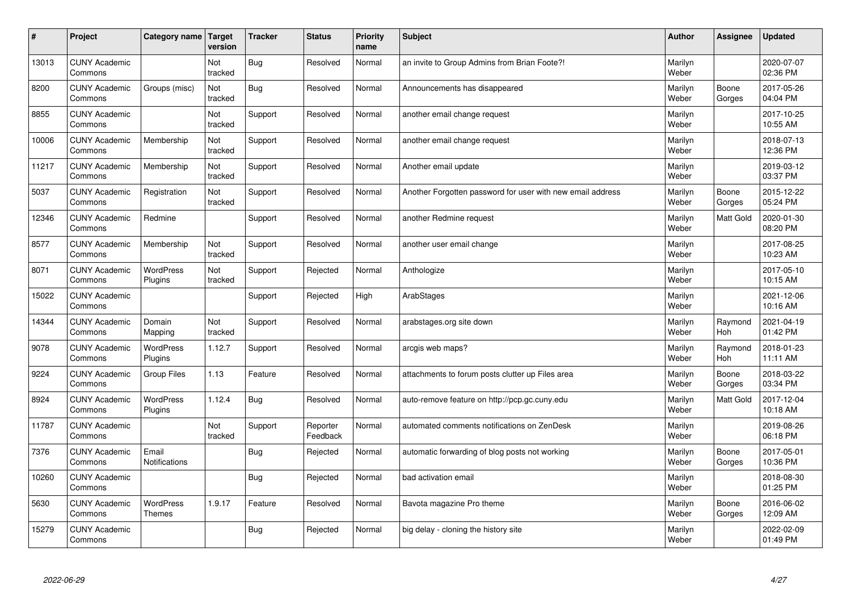| #     | Project                         | Category name   Target        | version        | <b>Tracker</b> | <b>Status</b>        | <b>Priority</b><br>name | <b>Subject</b>                                             | <b>Author</b>    | <b>Assignee</b>       | <b>Updated</b>         |
|-------|---------------------------------|-------------------------------|----------------|----------------|----------------------|-------------------------|------------------------------------------------------------|------------------|-----------------------|------------------------|
| 13013 | <b>CUNY Academic</b><br>Commons |                               | Not<br>tracked | Bug            | Resolved             | Normal                  | an invite to Group Admins from Brian Foote?!               | Marilyn<br>Weber |                       | 2020-07-07<br>02:36 PM |
| 8200  | <b>CUNY Academic</b><br>Commons | Groups (misc)                 | Not<br>tracked | Bug            | Resolved             | Normal                  | Announcements has disappeared                              | Marilyn<br>Weber | Boone<br>Gorges       | 2017-05-26<br>04:04 PM |
| 8855  | <b>CUNY Academic</b><br>Commons |                               | Not<br>tracked | Support        | Resolved             | Normal                  | another email change request                               | Marilyn<br>Weber |                       | 2017-10-25<br>10:55 AM |
| 10006 | <b>CUNY Academic</b><br>Commons | Membership                    | Not<br>tracked | Support        | Resolved             | Normal                  | another email change request                               | Marilyn<br>Weber |                       | 2018-07-13<br>12:36 PM |
| 11217 | <b>CUNY Academic</b><br>Commons | Membership                    | Not<br>tracked | Support        | Resolved             | Normal                  | Another email update                                       | Marilyn<br>Weber |                       | 2019-03-12<br>03:37 PM |
| 5037  | <b>CUNY Academic</b><br>Commons | Registration                  | Not<br>tracked | Support        | Resolved             | Normal                  | Another Forgotten password for user with new email address | Marilyn<br>Weber | Boone<br>Gorges       | 2015-12-22<br>05:24 PM |
| 12346 | <b>CUNY Academic</b><br>Commons | Redmine                       |                | Support        | Resolved             | Normal                  | another Redmine request                                    | Marilyn<br>Weber | <b>Matt Gold</b>      | 2020-01-30<br>08:20 PM |
| 8577  | <b>CUNY Academic</b><br>Commons | Membership                    | Not<br>tracked | Support        | Resolved             | Normal                  | another user email change                                  | Marilyn<br>Weber |                       | 2017-08-25<br>10:23 AM |
| 8071  | <b>CUNY Academic</b><br>Commons | WordPress<br>Plugins          | Not<br>tracked | Support        | Rejected             | Normal                  | Anthologize                                                | Marilyn<br>Weber |                       | 2017-05-10<br>10:15 AM |
| 15022 | <b>CUNY Academic</b><br>Commons |                               |                | Support        | Rejected             | High                    | ArabStages                                                 | Marilyn<br>Weber |                       | 2021-12-06<br>10:16 AM |
| 14344 | <b>CUNY Academic</b><br>Commons | Domain<br>Mapping             | Not<br>tracked | Support        | Resolved             | Normal                  | arabstages.org site down                                   | Marilyn<br>Weber | Raymond<br><b>Hoh</b> | 2021-04-19<br>01:42 PM |
| 9078  | <b>CUNY Academic</b><br>Commons | <b>WordPress</b><br>Plugins   | 1.12.7         | Support        | Resolved             | Normal                  | arcgis web maps?                                           | Marilyn<br>Weber | Raymond<br>Hoh        | 2018-01-23<br>11:11 AM |
| 9224  | <b>CUNY Academic</b><br>Commons | <b>Group Files</b>            | 1.13           | Feature        | Resolved             | Normal                  | attachments to forum posts clutter up Files area           | Marilyn<br>Weber | Boone<br>Gorges       | 2018-03-22<br>03:34 PM |
| 8924  | <b>CUNY Academic</b><br>Commons | WordPress<br>Plugins          | 1.12.4         | Bug            | Resolved             | Normal                  | auto-remove feature on http://pcp.gc.cuny.edu              | Marilyn<br>Weber | Matt Gold             | 2017-12-04<br>10:18 AM |
| 11787 | <b>CUNY Academic</b><br>Commons |                               | Not<br>tracked | Support        | Reporter<br>Feedback | Normal                  | automated comments notifications on ZenDesk                | Marilyn<br>Weber |                       | 2019-08-26<br>06:18 PM |
| 7376  | <b>CUNY Academic</b><br>Commons | Email<br><b>Notifications</b> |                | Bug            | Rejected             | Normal                  | automatic forwarding of blog posts not working             | Marilyn<br>Weber | Boone<br>Gorges       | 2017-05-01<br>10:36 PM |
| 10260 | <b>CUNY Academic</b><br>Commons |                               |                | Bug            | Rejected             | Normal                  | bad activation email                                       | Marilyn<br>Weber |                       | 2018-08-30<br>01:25 PM |
| 5630  | <b>CUNY Academic</b><br>Commons | WordPress<br><b>Themes</b>    | 1.9.17         | Feature        | Resolved             | Normal                  | Bavota magazine Pro theme                                  | Marilyn<br>Weber | Boone<br>Gorges       | 2016-06-02<br>12:09 AM |
| 15279 | <b>CUNY Academic</b><br>Commons |                               |                | Bug            | Rejected             | Normal                  | big delay - cloning the history site                       | Marilyn<br>Weber |                       | 2022-02-09<br>01:49 PM |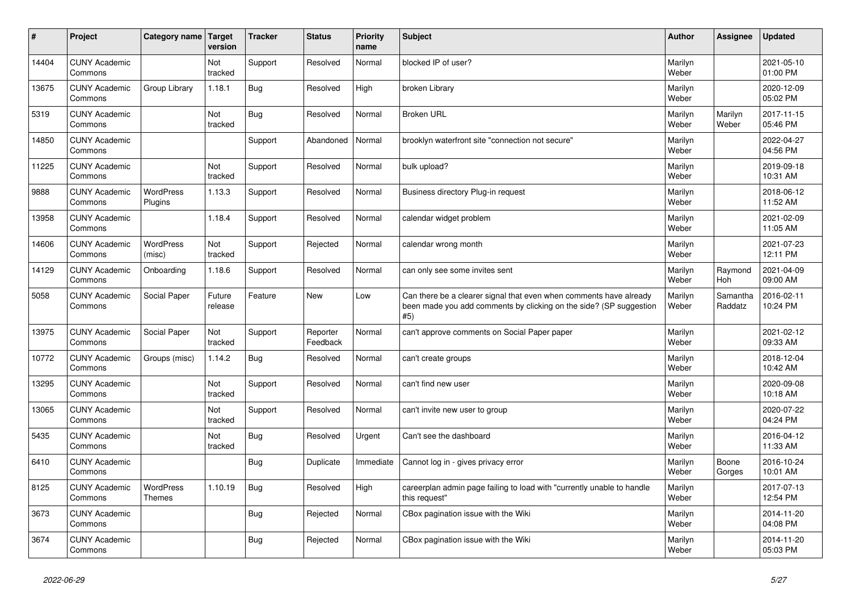| #     | Project                         | Category name   Target      | version           | <b>Tracker</b> | <b>Status</b>        | <b>Priority</b><br>name | <b>Subject</b>                                                                                                                                  | <b>Author</b>    | Assignee              | <b>Updated</b>         |
|-------|---------------------------------|-----------------------------|-------------------|----------------|----------------------|-------------------------|-------------------------------------------------------------------------------------------------------------------------------------------------|------------------|-----------------------|------------------------|
| 14404 | <b>CUNY Academic</b><br>Commons |                             | Not<br>tracked    | Support        | Resolved             | Normal                  | blocked IP of user?                                                                                                                             | Marilyn<br>Weber |                       | 2021-05-10<br>01:00 PM |
| 13675 | <b>CUNY Academic</b><br>Commons | Group Library               | 1.18.1            | Bug            | Resolved             | High                    | broken Library                                                                                                                                  | Marilyn<br>Weber |                       | 2020-12-09<br>05:02 PM |
| 5319  | <b>CUNY Academic</b><br>Commons |                             | Not<br>tracked    | Bug            | Resolved             | Normal                  | <b>Broken URL</b>                                                                                                                               | Marilyn<br>Weber | Marilyn<br>Weber      | 2017-11-15<br>05:46 PM |
| 14850 | <b>CUNY Academic</b><br>Commons |                             |                   | Support        | Abandoned            | Normal                  | brooklyn waterfront site "connection not secure"                                                                                                | Marilyn<br>Weber |                       | 2022-04-27<br>04:56 PM |
| 11225 | <b>CUNY Academic</b><br>Commons |                             | Not<br>tracked    | Support        | Resolved             | Normal                  | bulk upload?                                                                                                                                    | Marilyn<br>Weber |                       | 2019-09-18<br>10:31 AM |
| 9888  | <b>CUNY Academic</b><br>Commons | <b>WordPress</b><br>Plugins | 1.13.3            | Support        | Resolved             | Normal                  | Business directory Plug-in request                                                                                                              | Marilyn<br>Weber |                       | 2018-06-12<br>11:52 AM |
| 13958 | <b>CUNY Academic</b><br>Commons |                             | 1.18.4            | Support        | Resolved             | Normal                  | calendar widget problem                                                                                                                         | Marilyn<br>Weber |                       | 2021-02-09<br>11:05 AM |
| 14606 | <b>CUNY Academic</b><br>Commons | <b>WordPress</b><br>(misc)  | Not<br>tracked    | Support        | Rejected             | Normal                  | calendar wrong month                                                                                                                            | Marilyn<br>Weber |                       | 2021-07-23<br>12:11 PM |
| 14129 | <b>CUNY Academic</b><br>Commons | Onboarding                  | 1.18.6            | Support        | Resolved             | Normal                  | can only see some invites sent                                                                                                                  | Marilyn<br>Weber | Raymond<br><b>Hoh</b> | 2021-04-09<br>09:00 AM |
| 5058  | <b>CUNY Academic</b><br>Commons | Social Paper                | Future<br>release | Feature        | <b>New</b>           | Low                     | Can there be a clearer signal that even when comments have already<br>been made you add comments by clicking on the side? (SP suggestion<br>#5) | Marilyn<br>Weber | Samantha<br>Raddatz   | 2016-02-11<br>10:24 PM |
| 13975 | <b>CUNY Academic</b><br>Commons | Social Paper                | Not<br>tracked    | Support        | Reporter<br>Feedback | Normal                  | can't approve comments on Social Paper paper                                                                                                    | Marilyn<br>Weber |                       | 2021-02-12<br>09:33 AM |
| 10772 | <b>CUNY Academic</b><br>Commons | Groups (misc)               | 1.14.2            | Bug            | Resolved             | Normal                  | can't create groups                                                                                                                             | Marilyn<br>Weber |                       | 2018-12-04<br>10:42 AM |
| 13295 | <b>CUNY Academic</b><br>Commons |                             | Not<br>tracked    | Support        | Resolved             | Normal                  | can't find new user                                                                                                                             | Marilyn<br>Weber |                       | 2020-09-08<br>10:18 AM |
| 13065 | <b>CUNY Academic</b><br>Commons |                             | Not<br>tracked    | Support        | Resolved             | Normal                  | can't invite new user to group                                                                                                                  | Marilyn<br>Weber |                       | 2020-07-22<br>04:24 PM |
| 5435  | <b>CUNY Academic</b><br>Commons |                             | Not<br>tracked    | <b>Bug</b>     | Resolved             | Urgent                  | Can't see the dashboard                                                                                                                         | Marilyn<br>Weber |                       | 2016-04-12<br>11:33 AM |
| 6410  | <b>CUNY Academic</b><br>Commons |                             |                   | Bug            | Duplicate            | Immediate               | Cannot log in - gives privacy error                                                                                                             | Marilyn<br>Weber | Boone<br>Gorges       | 2016-10-24<br>10:01 AM |
| 8125  | <b>CUNY Academic</b><br>Commons | WordPress<br><b>Themes</b>  | 1.10.19           | Bug            | Resolved             | High                    | careerplan admin page failing to load with "currently unable to handle<br>this request"                                                         | Marilyn<br>Weber |                       | 2017-07-13<br>12:54 PM |
| 3673  | <b>CUNY Academic</b><br>Commons |                             |                   | Bug            | Rejected             | Normal                  | CBox pagination issue with the Wiki                                                                                                             | Marilyn<br>Weber |                       | 2014-11-20<br>04:08 PM |
| 3674  | <b>CUNY Academic</b><br>Commons |                             |                   | <b>Bug</b>     | Rejected             | Normal                  | CBox pagination issue with the Wiki                                                                                                             | Marilyn<br>Weber |                       | 2014-11-20<br>05:03 PM |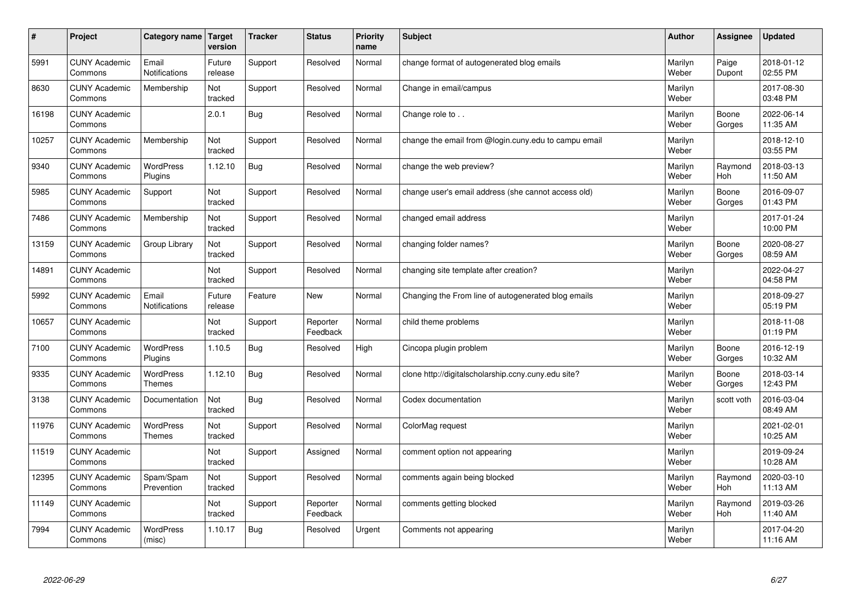| $\#$  | Project                         | Category name   Target            | version           | <b>Tracker</b> | <b>Status</b>        | <b>Priority</b><br>name | <b>Subject</b>                                       | <b>Author</b>    | <b>Assignee</b>       | <b>Updated</b>         |
|-------|---------------------------------|-----------------------------------|-------------------|----------------|----------------------|-------------------------|------------------------------------------------------|------------------|-----------------------|------------------------|
| 5991  | <b>CUNY Academic</b><br>Commons | Email<br>Notifications            | Future<br>release | Support        | Resolved             | Normal                  | change format of autogenerated blog emails           | Marilyn<br>Weber | Paige<br>Dupont       | 2018-01-12<br>02:55 PM |
| 8630  | <b>CUNY Academic</b><br>Commons | Membership                        | Not<br>tracked    | Support        | Resolved             | Normal                  | Change in email/campus                               | Marilyn<br>Weber |                       | 2017-08-30<br>03:48 PM |
| 16198 | <b>CUNY Academic</b><br>Commons |                                   | 2.0.1             | Bug            | Resolved             | Normal                  | Change role to                                       | Marilyn<br>Weber | Boone<br>Gorges       | 2022-06-14<br>11:35 AM |
| 10257 | <b>CUNY Academic</b><br>Commons | Membership                        | Not<br>tracked    | Support        | Resolved             | Normal                  | change the email from @login.cuny.edu to campu email | Marilyn<br>Weber |                       | 2018-12-10<br>03:55 PM |
| 9340  | <b>CUNY Academic</b><br>Commons | <b>WordPress</b><br>Plugins       | 1.12.10           | Bug            | Resolved             | Normal                  | change the web preview?                              | Marilyn<br>Weber | Raymond<br>Hoh        | 2018-03-13<br>11:50 AM |
| 5985  | <b>CUNY Academic</b><br>Commons | Support                           | Not<br>tracked    | Support        | Resolved             | Normal                  | change user's email address (she cannot access old)  | Marilyn<br>Weber | Boone<br>Gorges       | 2016-09-07<br>01:43 PM |
| 7486  | <b>CUNY Academic</b><br>Commons | Membership                        | Not<br>tracked    | Support        | Resolved             | Normal                  | changed email address                                | Marilyn<br>Weber |                       | 2017-01-24<br>10:00 PM |
| 13159 | <b>CUNY Academic</b><br>Commons | Group Library                     | Not<br>tracked    | Support        | Resolved             | Normal                  | changing folder names?                               | Marilyn<br>Weber | Boone<br>Gorges       | 2020-08-27<br>08:59 AM |
| 14891 | <b>CUNY Academic</b><br>Commons |                                   | Not<br>tracked    | Support        | Resolved             | Normal                  | changing site template after creation?               | Marilyn<br>Weber |                       | 2022-04-27<br>04:58 PM |
| 5992  | <b>CUNY Academic</b><br>Commons | Email<br>Notifications            | Future<br>release | Feature        | <b>New</b>           | Normal                  | Changing the From line of autogenerated blog emails  | Marilyn<br>Weber |                       | 2018-09-27<br>05:19 PM |
| 10657 | <b>CUNY Academic</b><br>Commons |                                   | Not<br>tracked    | Support        | Reporter<br>Feedback | Normal                  | child theme problems                                 | Marilyn<br>Weber |                       | 2018-11-08<br>01:19 PM |
| 7100  | <b>CUNY Academic</b><br>Commons | WordPress<br>Plugins              | 1.10.5            | <b>Bug</b>     | Resolved             | High                    | Cincopa plugin problem                               | Marilyn<br>Weber | Boone<br>Gorges       | 2016-12-19<br>10:32 AM |
| 9335  | <b>CUNY Academic</b><br>Commons | <b>WordPress</b><br><b>Themes</b> | 1.12.10           | Bug            | Resolved             | Normal                  | clone http://digitalscholarship.ccny.cuny.edu site?  | Marilyn<br>Weber | Boone<br>Gorges       | 2018-03-14<br>12:43 PM |
| 3138  | <b>CUNY Academic</b><br>Commons | Documentation                     | Not<br>tracked    | Bug            | Resolved             | Normal                  | Codex documentation                                  | Marilyn<br>Weber | scott voth            | 2016-03-04<br>08:49 AM |
| 11976 | <b>CUNY Academic</b><br>Commons | <b>WordPress</b><br><b>Themes</b> | Not<br>tracked    | Support        | Resolved             | Normal                  | ColorMag request                                     | Marilyn<br>Weber |                       | 2021-02-01<br>10:25 AM |
| 11519 | <b>CUNY Academic</b><br>Commons |                                   | Not<br>tracked    | Support        | Assigned             | Normal                  | comment option not appearing                         | Marilyn<br>Weber |                       | 2019-09-24<br>10:28 AM |
| 12395 | <b>CUNY Academic</b><br>Commons | Spam/Spam<br>Prevention           | Not<br>tracked    | Support        | Resolved             | Normal                  | comments again being blocked                         | Marilyn<br>Weber | Raymond<br>Hoh        | 2020-03-10<br>11:13 AM |
| 11149 | <b>CUNY Academic</b><br>Commons |                                   | Not<br>tracked    | Support        | Reporter<br>Feedback | Normal                  | comments getting blocked                             | Marilyn<br>Weber | Raymond<br><b>Hoh</b> | 2019-03-26<br>11:40 AM |
| 7994  | <b>CUNY Academic</b><br>Commons | <b>WordPress</b><br>(misc)        | 1.10.17           | Bug            | Resolved             | Urgent                  | Comments not appearing                               | Marilyn<br>Weber |                       | 2017-04-20<br>11:16 AM |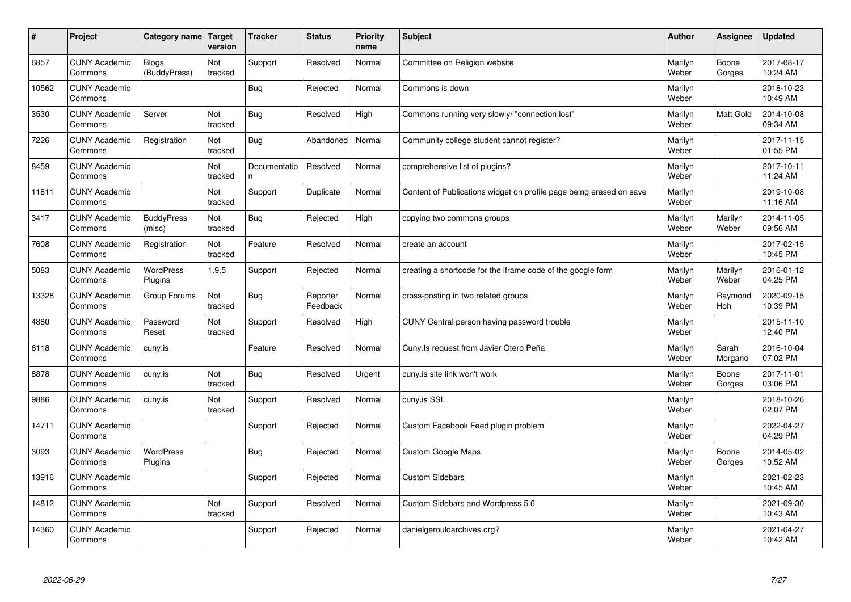| #     | Project                         | Category name                | Target<br>version | <b>Tracker</b>     | <b>Status</b>        | <b>Priority</b><br>name | <b>Subject</b>                                                      | <b>Author</b>    | Assignee         | Updated                |
|-------|---------------------------------|------------------------------|-------------------|--------------------|----------------------|-------------------------|---------------------------------------------------------------------|------------------|------------------|------------------------|
| 6857  | <b>CUNY Academic</b><br>Commons | <b>Blogs</b><br>(BuddyPress) | Not<br>tracked    | Support            | Resolved             | Normal                  | Committee on Religion website                                       | Marilyn<br>Weber | Boone<br>Gorges  | 2017-08-17<br>10:24 AM |
| 10562 | <b>CUNY Academic</b><br>Commons |                              |                   | Bug                | Rejected             | Normal                  | Commons is down                                                     | Marilyn<br>Weber |                  | 2018-10-23<br>10:49 AM |
| 3530  | <b>CUNY Academic</b><br>Commons | Server                       | Not<br>tracked    | Bug                | Resolved             | High                    | Commons running very slowly/ "connection lost"                      | Marilyn<br>Weber | <b>Matt Gold</b> | 2014-10-08<br>09:34 AM |
| 7226  | <b>CUNY Academic</b><br>Commons | Registration                 | Not<br>tracked    | Bug                | Abandoned            | Normal                  | Community college student cannot register?                          | Marilyn<br>Weber |                  | 2017-11-15<br>01:55 PM |
| 8459  | <b>CUNY Academic</b><br>Commons |                              | Not<br>tracked    | Documentatio<br>n. | Resolved             | Normal                  | comprehensive list of plugins?                                      | Marilyn<br>Weber |                  | 2017-10-11<br>11:24 AM |
| 11811 | <b>CUNY Academic</b><br>Commons |                              | Not<br>tracked    | Support            | Duplicate            | Normal                  | Content of Publications widget on profile page being erased on save | Marilyn<br>Weber |                  | 2019-10-08<br>11:16 AM |
| 3417  | <b>CUNY Academic</b><br>Commons | <b>BuddyPress</b><br>(misc)  | Not<br>tracked    | Bug                | Rejected             | High                    | copying two commons groups                                          | Marilyn<br>Weber | Marilyn<br>Weber | 2014-11-05<br>09:56 AM |
| 7608  | <b>CUNY Academic</b><br>Commons | Registration                 | Not<br>tracked    | Feature            | Resolved             | Normal                  | create an account                                                   | Marilyn<br>Weber |                  | 2017-02-15<br>10:45 PM |
| 5083  | <b>CUNY Academic</b><br>Commons | <b>WordPress</b><br>Plugins  | 1.9.5             | Support            | Rejected             | Normal                  | creating a shortcode for the iframe code of the google form         | Marilyn<br>Weber | Marilyn<br>Weber | 2016-01-12<br>04:25 PM |
| 13328 | <b>CUNY Academic</b><br>Commons | Group Forums                 | Not<br>tracked    | Bug                | Reporter<br>Feedback | Normal                  | cross-posting in two related groups                                 | Marilyn<br>Weber | Raymond<br>Hoh   | 2020-09-15<br>10:39 PM |
| 4880  | <b>CUNY Academic</b><br>Commons | Password<br>Reset            | Not<br>tracked    | Support            | Resolved             | High                    | CUNY Central person having password trouble                         | Marilyn<br>Weber |                  | 2015-11-10<br>12:40 PM |
| 6118  | <b>CUNY Academic</b><br>Commons | cuny.is                      |                   | Feature            | Resolved             | Normal                  | Cuny. Is request from Javier Otero Peña                             | Marilyn<br>Weber | Sarah<br>Morgano | 2016-10-04<br>07:02 PM |
| 8878  | <b>CUNY Academic</b><br>Commons | cuny.is                      | Not<br>tracked    | Bug                | Resolved             | Urgent                  | cuny is site link won't work                                        | Marilyn<br>Weber | Boone<br>Gorges  | 2017-11-01<br>03:06 PM |
| 9886  | <b>CUNY Academic</b><br>Commons | cuny.is                      | Not<br>tracked    | Support            | Resolved             | Normal                  | cuny.is SSL                                                         | Marilyn<br>Weber |                  | 2018-10-26<br>02:07 PM |
| 14711 | <b>CUNY Academic</b><br>Commons |                              |                   | Support            | Rejected             | Normal                  | Custom Facebook Feed plugin problem                                 | Marilyn<br>Weber |                  | 2022-04-27<br>04:29 PM |
| 3093  | <b>CUNY Academic</b><br>Commons | <b>WordPress</b><br>Plugins  |                   | Bug                | Rejected             | Normal                  | <b>Custom Google Maps</b>                                           | Marilyn<br>Weber | Boone<br>Gorges  | 2014-05-02<br>10:52 AM |
| 13916 | <b>CUNY Academic</b><br>Commons |                              |                   | Support            | Rejected             | Normal                  | <b>Custom Sidebars</b>                                              | Marilyn<br>Weber |                  | 2021-02-23<br>10:45 AM |
| 14812 | <b>CUNY Academic</b><br>Commons |                              | Not<br>tracked    | Support            | Resolved             | Normal                  | Custom Sidebars and Wordpress 5.6                                   | Marilyn<br>Weber |                  | 2021-09-30<br>10:43 AM |
| 14360 | <b>CUNY Academic</b><br>Commons |                              |                   | Support            | Rejected             | Normal                  | danielgerouldarchives.org?                                          | Marilyn<br>Weber |                  | 2021-04-27<br>10:42 AM |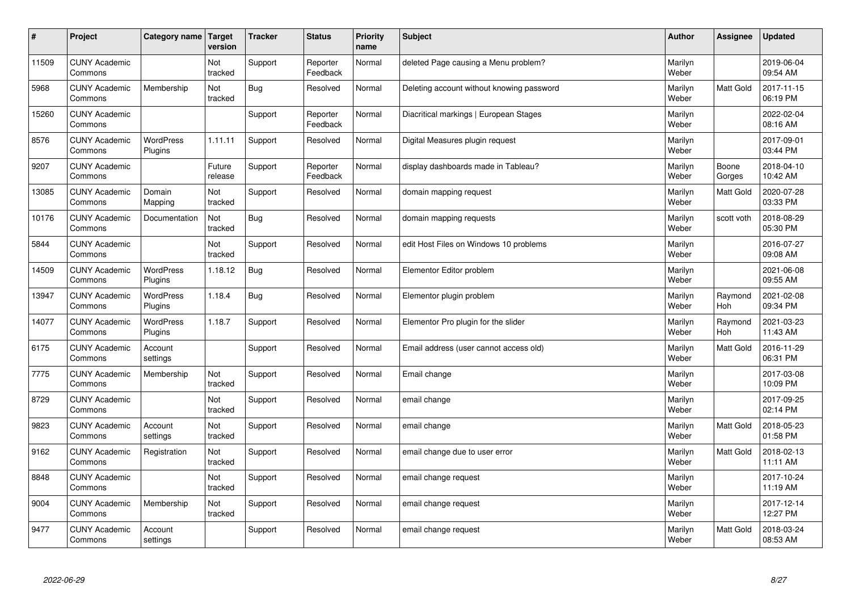| $\sharp$ | Project                         | Category name               | Target<br>version | <b>Tracker</b> | <b>Status</b>        | <b>Priority</b><br>name | <b>Subject</b>                            | <b>Author</b>    | Assignee         | <b>Updated</b>         |
|----------|---------------------------------|-----------------------------|-------------------|----------------|----------------------|-------------------------|-------------------------------------------|------------------|------------------|------------------------|
| 11509    | <b>CUNY Academic</b><br>Commons |                             | Not<br>tracked    | Support        | Reporter<br>Feedback | Normal                  | deleted Page causing a Menu problem?      | Marilyn<br>Weber |                  | 2019-06-04<br>09:54 AM |
| 5968     | <b>CUNY Academic</b><br>Commons | Membership                  | Not<br>tracked    | Bug            | Resolved             | Normal                  | Deleting account without knowing password | Marilyn<br>Weber | <b>Matt Gold</b> | 2017-11-15<br>06:19 PM |
| 15260    | <b>CUNY Academic</b><br>Commons |                             |                   | Support        | Reporter<br>Feedback | Normal                  | Diacritical markings   European Stages    | Marilyn<br>Weber |                  | 2022-02-04<br>08:16 AM |
| 8576     | <b>CUNY Academic</b><br>Commons | <b>WordPress</b><br>Plugins | 1.11.11           | Support        | Resolved             | Normal                  | Digital Measures plugin request           | Marilyn<br>Weber |                  | 2017-09-01<br>03:44 PM |
| 9207     | <b>CUNY Academic</b><br>Commons |                             | Future<br>release | Support        | Reporter<br>Feedback | Normal                  | display dashboards made in Tableau?       | Marilyn<br>Weber | Boone<br>Gorges  | 2018-04-10<br>10:42 AM |
| 13085    | <b>CUNY Academic</b><br>Commons | Domain<br>Mapping           | Not<br>tracked    | Support        | Resolved             | Normal                  | domain mapping request                    | Marilyn<br>Weber | <b>Matt Gold</b> | 2020-07-28<br>03:33 PM |
| 10176    | <b>CUNY Academic</b><br>Commons | Documentation               | Not<br>tracked    | Bug            | Resolved             | Normal                  | domain mapping requests                   | Marilyn<br>Weber | scott voth       | 2018-08-29<br>05:30 PM |
| 5844     | <b>CUNY Academic</b><br>Commons |                             | Not<br>tracked    | Support        | Resolved             | Normal                  | edit Host Files on Windows 10 problems    | Marilyn<br>Weber |                  | 2016-07-27<br>09:08 AM |
| 14509    | <b>CUNY Academic</b><br>Commons | WordPress<br>Plugins        | 1.18.12           | Bug            | Resolved             | Normal                  | Elementor Editor problem                  | Marilyn<br>Weber |                  | 2021-06-08<br>09:55 AM |
| 13947    | <b>CUNY Academic</b><br>Commons | WordPress<br>Plugins        | 1.18.4            | Bug            | Resolved             | Normal                  | Elementor plugin problem                  | Marilyn<br>Weber | Raymond<br>Hoh   | 2021-02-08<br>09:34 PM |
| 14077    | <b>CUNY Academic</b><br>Commons | WordPress<br>Plugins        | 1.18.7            | Support        | Resolved             | Normal                  | Elementor Pro plugin for the slider       | Marilyn<br>Weber | Raymond<br>Hoh   | 2021-03-23<br>11:43 AM |
| 6175     | <b>CUNY Academic</b><br>Commons | Account<br>settings         |                   | Support        | Resolved             | Normal                  | Email address (user cannot access old)    | Marilyn<br>Weber | <b>Matt Gold</b> | 2016-11-29<br>06:31 PM |
| 7775     | <b>CUNY Academic</b><br>Commons | Membership                  | Not<br>tracked    | Support        | Resolved             | Normal                  | Email change                              | Marilyn<br>Weber |                  | 2017-03-08<br>10:09 PM |
| 8729     | <b>CUNY Academic</b><br>Commons |                             | Not<br>tracked    | Support        | Resolved             | Normal                  | email change                              | Marilyn<br>Weber |                  | 2017-09-25<br>02:14 PM |
| 9823     | <b>CUNY Academic</b><br>Commons | Account<br>settings         | Not<br>tracked    | Support        | Resolved             | Normal                  | email change                              | Marilyn<br>Weber | Matt Gold        | 2018-05-23<br>01:58 PM |
| 9162     | <b>CUNY Academic</b><br>Commons | Registration                | Not<br>tracked    | Support        | Resolved             | Normal                  | email change due to user error            | Marilyn<br>Weber | <b>Matt Gold</b> | 2018-02-13<br>11:11 AM |
| 8848     | <b>CUNY Academic</b><br>Commons |                             | Not<br>tracked    | Support        | Resolved             | Normal                  | email change request                      | Marilyn<br>Weber |                  | 2017-10-24<br>11:19 AM |
| 9004     | <b>CUNY Academic</b><br>Commons | Membership                  | Not<br>tracked    | Support        | Resolved             | Normal                  | email change request                      | Marilyn<br>Weber |                  | 2017-12-14<br>12:27 PM |
| 9477     | <b>CUNY Academic</b><br>Commons | Account<br>settings         |                   | Support        | Resolved             | Normal                  | email change request                      | Marilyn<br>Weber | <b>Matt Gold</b> | 2018-03-24<br>08:53 AM |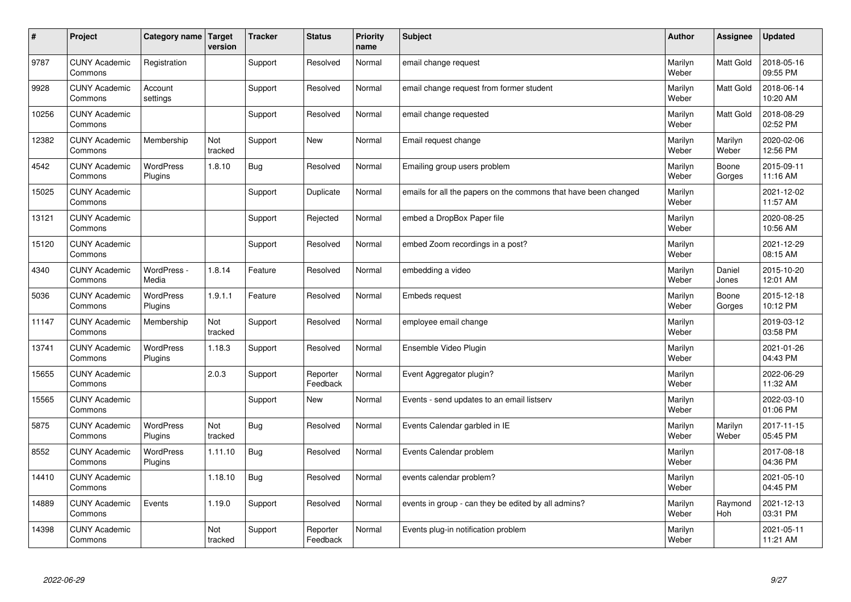| #     | Project                         | Category name               | Target<br>version | <b>Tracker</b> | <b>Status</b>        | <b>Priority</b><br>name | <b>Subject</b>                                                  | <b>Author</b>    | Assignee         | Updated                |
|-------|---------------------------------|-----------------------------|-------------------|----------------|----------------------|-------------------------|-----------------------------------------------------------------|------------------|------------------|------------------------|
| 9787  | <b>CUNY Academic</b><br>Commons | Registration                |                   | Support        | Resolved             | Normal                  | email change request                                            | Marilyn<br>Weber | <b>Matt Gold</b> | 2018-05-16<br>09:55 PM |
| 9928  | <b>CUNY Academic</b><br>Commons | Account<br>settings         |                   | Support        | Resolved             | Normal                  | email change request from former student                        | Marilyn<br>Weber | Matt Gold        | 2018-06-14<br>10:20 AM |
| 10256 | <b>CUNY Academic</b><br>Commons |                             |                   | Support        | Resolved             | Normal                  | email change requested                                          | Marilyn<br>Weber | <b>Matt Gold</b> | 2018-08-29<br>02:52 PM |
| 12382 | <b>CUNY Academic</b><br>Commons | Membership                  | Not<br>tracked    | Support        | <b>New</b>           | Normal                  | Email request change                                            | Marilyn<br>Weber | Marilyn<br>Weber | 2020-02-06<br>12:56 PM |
| 4542  | <b>CUNY Academic</b><br>Commons | <b>WordPress</b><br>Plugins | 1.8.10            | Bug            | Resolved             | Normal                  | Emailing group users problem                                    | Marilyn<br>Weber | Boone<br>Gorges  | 2015-09-11<br>11:16 AM |
| 15025 | <b>CUNY Academic</b><br>Commons |                             |                   | Support        | Duplicate            | Normal                  | emails for all the papers on the commons that have been changed | Marilyn<br>Weber |                  | 2021-12-02<br>11:57 AM |
| 13121 | <b>CUNY Academic</b><br>Commons |                             |                   | Support        | Rejected             | Normal                  | embed a DropBox Paper file                                      | Marilyn<br>Weber |                  | 2020-08-25<br>10:56 AM |
| 15120 | <b>CUNY Academic</b><br>Commons |                             |                   | Support        | Resolved             | Normal                  | embed Zoom recordings in a post?                                | Marilyn<br>Weber |                  | 2021-12-29<br>08:15 AM |
| 4340  | <b>CUNY Academic</b><br>Commons | WordPress -<br>Media        | 1.8.14            | Feature        | Resolved             | Normal                  | embedding a video                                               | Marilyn<br>Weber | Daniel<br>Jones  | 2015-10-20<br>12:01 AM |
| 5036  | <b>CUNY Academic</b><br>Commons | WordPress<br>Plugins        | 1.9.1.1           | Feature        | Resolved             | Normal                  | <b>Embeds request</b>                                           | Marilyn<br>Weber | Boone<br>Gorges  | 2015-12-18<br>10:12 PM |
| 11147 | <b>CUNY Academic</b><br>Commons | Membership                  | Not<br>tracked    | Support        | Resolved             | Normal                  | employee email change                                           | Marilyn<br>Weber |                  | 2019-03-12<br>03:58 PM |
| 13741 | <b>CUNY Academic</b><br>Commons | <b>WordPress</b><br>Plugins | 1.18.3            | Support        | Resolved             | Normal                  | Ensemble Video Plugin                                           | Marilyn<br>Weber |                  | 2021-01-26<br>04:43 PM |
| 15655 | <b>CUNY Academic</b><br>Commons |                             | 2.0.3             | Support        | Reporter<br>Feedback | Normal                  | Event Aggregator plugin?                                        | Marilyn<br>Weber |                  | 2022-06-29<br>11:32 AM |
| 15565 | <b>CUNY Academic</b><br>Commons |                             |                   | Support        | <b>New</b>           | Normal                  | Events - send updates to an email listserv                      | Marilyn<br>Weber |                  | 2022-03-10<br>01:06 PM |
| 5875  | <b>CUNY Academic</b><br>Commons | <b>WordPress</b><br>Plugins | Not<br>tracked    | Bug            | Resolved             | Normal                  | Events Calendar garbled in IE                                   | Marilyn<br>Weber | Marilyn<br>Weber | 2017-11-15<br>05:45 PM |
| 8552  | <b>CUNY Academic</b><br>Commons | <b>WordPress</b><br>Plugins | 1.11.10           | Bug            | Resolved             | Normal                  | Events Calendar problem                                         | Marilyn<br>Weber |                  | 2017-08-18<br>04:36 PM |
| 14410 | <b>CUNY Academic</b><br>Commons |                             | 1.18.10           | Bug            | Resolved             | Normal                  | events calendar problem?                                        | Marilyn<br>Weber |                  | 2021-05-10<br>04:45 PM |
| 14889 | <b>CUNY Academic</b><br>Commons | Events                      | 1.19.0            | Support        | Resolved             | Normal                  | events in group - can they be edited by all admins?             | Marilyn<br>Weber | Raymond<br>Hoh   | 2021-12-13<br>03:31 PM |
| 14398 | <b>CUNY Academic</b><br>Commons |                             | Not<br>tracked    | Support        | Reporter<br>Feedback | Normal                  | Events plug-in notification problem                             | Marilyn<br>Weber |                  | 2021-05-11<br>11:21 AM |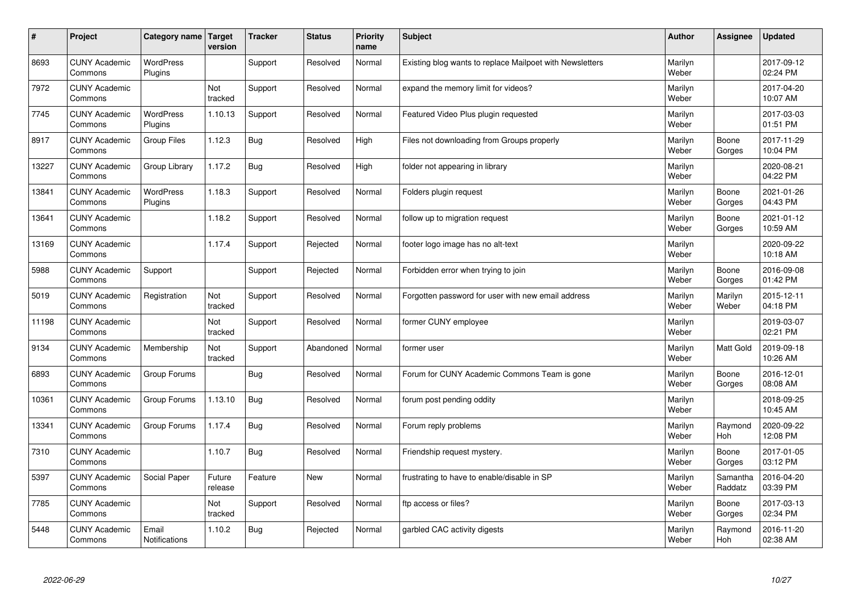| $\sharp$ | Project                         | Category name   Target        | version           | <b>Tracker</b> | <b>Status</b> | <b>Priority</b><br>name | <b>Subject</b>                                           | <b>Author</b>    | Assignee              | <b>Updated</b>         |
|----------|---------------------------------|-------------------------------|-------------------|----------------|---------------|-------------------------|----------------------------------------------------------|------------------|-----------------------|------------------------|
| 8693     | <b>CUNY Academic</b><br>Commons | <b>WordPress</b><br>Plugins   |                   | Support        | Resolved      | Normal                  | Existing blog wants to replace Mailpoet with Newsletters | Marilyn<br>Weber |                       | 2017-09-12<br>02:24 PM |
| 7972     | <b>CUNY Academic</b><br>Commons |                               | Not<br>tracked    | Support        | Resolved      | Normal                  | expand the memory limit for videos?                      | Marilyn<br>Weber |                       | 2017-04-20<br>10:07 AM |
| 7745     | <b>CUNY Academic</b><br>Commons | <b>WordPress</b><br>Plugins   | 1.10.13           | Support        | Resolved      | Normal                  | Featured Video Plus plugin requested                     | Marilyn<br>Weber |                       | 2017-03-03<br>01:51 PM |
| 8917     | <b>CUNY Academic</b><br>Commons | <b>Group Files</b>            | 1.12.3            | <b>Bug</b>     | Resolved      | High                    | Files not downloading from Groups properly               | Marilyn<br>Weber | Boone<br>Gorges       | 2017-11-29<br>10:04 PM |
| 13227    | <b>CUNY Academic</b><br>Commons | Group Library                 | 1.17.2            | Bug            | Resolved      | High                    | folder not appearing in library                          | Marilyn<br>Weber |                       | 2020-08-21<br>04:22 PM |
| 13841    | <b>CUNY Academic</b><br>Commons | <b>WordPress</b><br>Plugins   | 1.18.3            | Support        | Resolved      | Normal                  | Folders plugin request                                   | Marilyn<br>Weber | Boone<br>Gorges       | 2021-01-26<br>04:43 PM |
| 13641    | <b>CUNY Academic</b><br>Commons |                               | 1.18.2            | Support        | Resolved      | Normal                  | follow up to migration request                           | Marilyn<br>Weber | Boone<br>Gorges       | 2021-01-12<br>10:59 AM |
| 13169    | <b>CUNY Academic</b><br>Commons |                               | 1.17.4            | Support        | Rejected      | Normal                  | footer logo image has no alt-text                        | Marilyn<br>Weber |                       | 2020-09-22<br>10:18 AM |
| 5988     | <b>CUNY Academic</b><br>Commons | Support                       |                   | Support        | Rejected      | Normal                  | Forbidden error when trying to join                      | Marilyn<br>Weber | Boone<br>Gorges       | 2016-09-08<br>01:42 PM |
| 5019     | <b>CUNY Academic</b><br>Commons | Registration                  | Not<br>tracked    | Support        | Resolved      | Normal                  | Forgotten password for user with new email address       | Marilyn<br>Weber | Marilyn<br>Weber      | 2015-12-11<br>04:18 PM |
| 11198    | <b>CUNY Academic</b><br>Commons |                               | Not<br>tracked    | Support        | Resolved      | Normal                  | former CUNY employee                                     | Marilyn<br>Weber |                       | 2019-03-07<br>02:21 PM |
| 9134     | <b>CUNY Academic</b><br>Commons | Membership                    | Not<br>tracked    | Support        | Abandoned     | Normal                  | former user                                              | Marilyn<br>Weber | Matt Gold             | 2019-09-18<br>10:26 AM |
| 6893     | <b>CUNY Academic</b><br>Commons | Group Forums                  |                   | Bug            | Resolved      | Normal                  | Forum for CUNY Academic Commons Team is gone             | Marilyn<br>Weber | Boone<br>Gorges       | 2016-12-01<br>08:08 AM |
| 10361    | <b>CUNY Academic</b><br>Commons | Group Forums                  | 1.13.10           | Bug            | Resolved      | Normal                  | forum post pending oddity                                | Marilyn<br>Weber |                       | 2018-09-25<br>10:45 AM |
| 13341    | <b>CUNY Academic</b><br>Commons | Group Forums                  | 1.17.4            | <b>Bug</b>     | Resolved      | Normal                  | Forum reply problems                                     | Marilyn<br>Weber | Raymond<br><b>Hoh</b> | 2020-09-22<br>12:08 PM |
| 7310     | <b>CUNY Academic</b><br>Commons |                               | 1.10.7            | Bug            | Resolved      | Normal                  | Friendship request mystery.                              | Marilyn<br>Weber | Boone<br>Gorges       | 2017-01-05<br>03:12 PM |
| 5397     | <b>CUNY Academic</b><br>Commons | Social Paper                  | Future<br>release | Feature        | <b>New</b>    | Normal                  | frustrating to have to enable/disable in SP              | Marilyn<br>Weber | Samantha<br>Raddatz   | 2016-04-20<br>03:39 PM |
| 7785     | <b>CUNY Academic</b><br>Commons |                               | Not<br>tracked    | Support        | Resolved      | Normal                  | ftp access or files?                                     | Marilyn<br>Weber | Boone<br>Gorges       | 2017-03-13<br>02:34 PM |
| 5448     | <b>CUNY Academic</b><br>Commons | Email<br><b>Notifications</b> | 1.10.2            | Bug            | Rejected      | Normal                  | garbled CAC activity digests                             | Marilyn<br>Weber | Raymond<br>Hoh        | 2016-11-20<br>02:38 AM |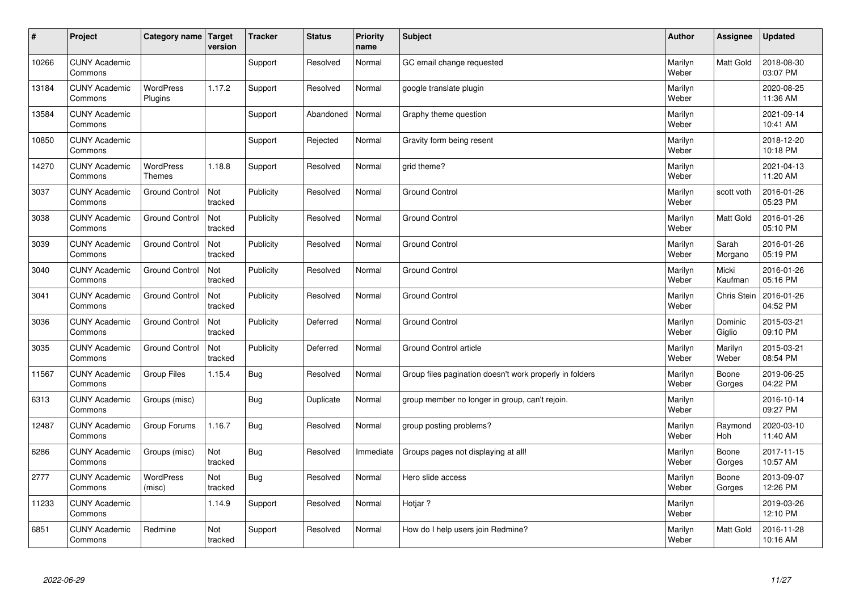| #     | Project                         | Category name   Target            | version        | <b>Tracker</b> | <b>Status</b> | <b>Priority</b><br>name | <b>Subject</b>                                          | <b>Author</b>    | Assignee              | <b>Updated</b>         |
|-------|---------------------------------|-----------------------------------|----------------|----------------|---------------|-------------------------|---------------------------------------------------------|------------------|-----------------------|------------------------|
| 10266 | <b>CUNY Academic</b><br>Commons |                                   |                | Support        | Resolved      | Normal                  | GC email change requested                               | Marilyn<br>Weber | Matt Gold             | 2018-08-30<br>03:07 PM |
| 13184 | <b>CUNY Academic</b><br>Commons | <b>WordPress</b><br>Plugins       | 1.17.2         | Support        | Resolved      | Normal                  | google translate plugin                                 | Marilyn<br>Weber |                       | 2020-08-25<br>11:36 AM |
| 13584 | <b>CUNY Academic</b><br>Commons |                                   |                | Support        | Abandoned     | Normal                  | Graphy theme question                                   | Marilyn<br>Weber |                       | 2021-09-14<br>10:41 AM |
| 10850 | <b>CUNY Academic</b><br>Commons |                                   |                | Support        | Rejected      | Normal                  | Gravity form being resent                               | Marilyn<br>Weber |                       | 2018-12-20<br>10:18 PM |
| 14270 | <b>CUNY Academic</b><br>Commons | <b>WordPress</b><br><b>Themes</b> | 1.18.8         | Support        | Resolved      | Normal                  | grid theme?                                             | Marilyn<br>Weber |                       | 2021-04-13<br>11:20 AM |
| 3037  | <b>CUNY Academic</b><br>Commons | <b>Ground Control</b>             | Not<br>tracked | Publicity      | Resolved      | Normal                  | <b>Ground Control</b>                                   | Marilyn<br>Weber | scott voth            | 2016-01-26<br>05:23 PM |
| 3038  | <b>CUNY Academic</b><br>Commons | <b>Ground Control</b>             | Not<br>tracked | Publicity      | Resolved      | Normal                  | <b>Ground Control</b>                                   | Marilyn<br>Weber | <b>Matt Gold</b>      | 2016-01-26<br>05:10 PM |
| 3039  | <b>CUNY Academic</b><br>Commons | <b>Ground Control</b>             | Not<br>tracked | Publicity      | Resolved      | Normal                  | <b>Ground Control</b>                                   | Marilyn<br>Weber | Sarah<br>Morgano      | 2016-01-26<br>05:19 PM |
| 3040  | <b>CUNY Academic</b><br>Commons | <b>Ground Control</b>             | Not<br>tracked | Publicity      | Resolved      | Normal                  | <b>Ground Control</b>                                   | Marilyn<br>Weber | Micki<br>Kaufman      | 2016-01-26<br>05:16 PM |
| 3041  | <b>CUNY Academic</b><br>Commons | <b>Ground Control</b>             | Not<br>tracked | Publicity      | Resolved      | Normal                  | <b>Ground Control</b>                                   | Marilyn<br>Weber | <b>Chris Stein</b>    | 2016-01-26<br>04:52 PM |
| 3036  | <b>CUNY Academic</b><br>Commons | <b>Ground Control</b>             | Not<br>tracked | Publicity      | Deferred      | Normal                  | Ground Control                                          | Marilyn<br>Weber | Dominic<br>Giglio     | 2015-03-21<br>09:10 PM |
| 3035  | <b>CUNY Academic</b><br>Commons | <b>Ground Control</b>             | Not<br>tracked | Publicity      | Deferred      | Normal                  | Ground Control article                                  | Marilyn<br>Weber | Marilyn<br>Weber      | 2015-03-21<br>08:54 PM |
| 11567 | <b>CUNY Academic</b><br>Commons | <b>Group Files</b>                | 1.15.4         | Bug            | Resolved      | Normal                  | Group files pagination doesn't work properly in folders | Marilyn<br>Weber | Boone<br>Gorges       | 2019-06-25<br>04:22 PM |
| 6313  | <b>CUNY Academic</b><br>Commons | Groups (misc)                     |                | Bug            | Duplicate     | Normal                  | group member no longer in group, can't rejoin.          | Marilyn<br>Weber |                       | 2016-10-14<br>09:27 PM |
| 12487 | <b>CUNY Academic</b><br>Commons | Group Forums                      | 1.16.7         | <b>Bug</b>     | Resolved      | Normal                  | group posting problems?                                 | Marilyn<br>Weber | Raymond<br><b>Hoh</b> | 2020-03-10<br>11:40 AM |
| 6286  | <b>CUNY Academic</b><br>Commons | Groups (misc)                     | Not<br>tracked | Bug            | Resolved      | Immediate               | Groups pages not displaying at all!                     | Marilyn<br>Weber | Boone<br>Gorges       | 2017-11-15<br>10:57 AM |
| 2777  | <b>CUNY Academic</b><br>Commons | WordPress<br>(misc)               | Not<br>tracked | Bug            | Resolved      | Normal                  | Hero slide access                                       | Marilyn<br>Weber | Boone<br>Gorges       | 2013-09-07<br>12:26 PM |
| 11233 | <b>CUNY Academic</b><br>Commons |                                   | 1.14.9         | Support        | Resolved      | Normal                  | Hotjar ?                                                | Marilyn<br>Weber |                       | 2019-03-26<br>12:10 PM |
| 6851  | <b>CUNY Academic</b><br>Commons | Redmine                           | Not<br>tracked | Support        | Resolved      | Normal                  | How do I help users join Redmine?                       | Marilyn<br>Weber | <b>Matt Gold</b>      | 2016-11-28<br>10:16 AM |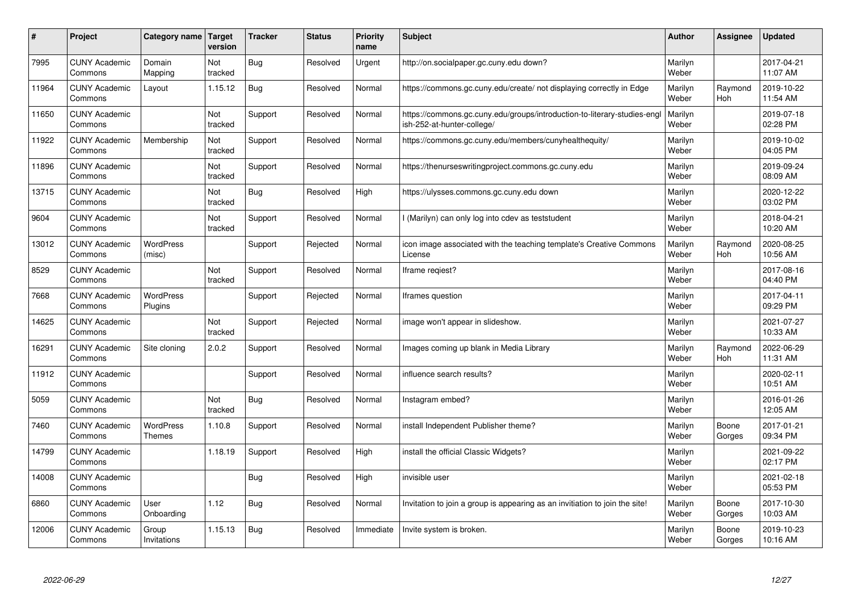| #     | Project                         | Category name   Target            | version        | <b>Tracker</b> | <b>Status</b> | <b>Priority</b><br>name | <b>Subject</b>                                                                                        | <b>Author</b>    | <b>Assignee</b>       | <b>Updated</b>         |
|-------|---------------------------------|-----------------------------------|----------------|----------------|---------------|-------------------------|-------------------------------------------------------------------------------------------------------|------------------|-----------------------|------------------------|
| 7995  | <b>CUNY Academic</b><br>Commons | Domain<br>Mapping                 | Not<br>tracked | Bug            | Resolved      | Urgent                  | http://on.socialpaper.gc.cuny.edu down?                                                               | Marilyn<br>Weber |                       | 2017-04-21<br>11:07 AM |
| 11964 | <b>CUNY Academic</b><br>Commons | Layout                            | 1.15.12        | Bug            | Resolved      | Normal                  | https://commons.gc.cuny.edu/create/ not displaying correctly in Edge                                  | Marilyn<br>Weber | Raymond<br>Hoh        | 2019-10-22<br>11:54 AM |
| 11650 | <b>CUNY Academic</b><br>Commons |                                   | Not<br>tracked | Support        | Resolved      | Normal                  | https://commons.gc.cuny.edu/groups/introduction-to-literary-studies-eng<br>ish-252-at-hunter-college/ | Marilyn<br>Weber |                       | 2019-07-18<br>02:28 PM |
| 11922 | <b>CUNY Academic</b><br>Commons | Membership                        | Not<br>tracked | Support        | Resolved      | Normal                  | https://commons.gc.cuny.edu/members/cunyhealthequity/                                                 | Marilyn<br>Weber |                       | 2019-10-02<br>04:05 PM |
| 11896 | <b>CUNY Academic</b><br>Commons |                                   | Not<br>tracked | Support        | Resolved      | Normal                  | https://thenurseswritingproject.commons.gc.cuny.edu                                                   | Marilyn<br>Weber |                       | 2019-09-24<br>08:09 AM |
| 13715 | <b>CUNY Academic</b><br>Commons |                                   | Not<br>tracked | Bug            | Resolved      | High                    | https://ulysses.commons.gc.cuny.edu down                                                              | Marilyn<br>Weber |                       | 2020-12-22<br>03:02 PM |
| 9604  | <b>CUNY Academic</b><br>Commons |                                   | Not<br>tracked | Support        | Resolved      | Normal                  | I (Marilyn) can only log into cdev as teststudent                                                     | Marilyn<br>Weber |                       | 2018-04-21<br>10:20 AM |
| 13012 | <b>CUNY Academic</b><br>Commons | WordPress<br>(misc)               |                | Support        | Rejected      | Normal                  | icon image associated with the teaching template's Creative Commons<br>License                        | Marilyn<br>Weber | Raymond<br><b>Hoh</b> | 2020-08-25<br>10:56 AM |
| 8529  | <b>CUNY Academic</b><br>Commons |                                   | Not<br>tracked | Support        | Resolved      | Normal                  | Iframe regiest?                                                                                       | Marilyn<br>Weber |                       | 2017-08-16<br>04:40 PM |
| 7668  | <b>CUNY Academic</b><br>Commons | <b>WordPress</b><br>Plugins       |                | Support        | Rejected      | Normal                  | Iframes question                                                                                      | Marilyn<br>Weber |                       | 2017-04-11<br>09:29 PM |
| 14625 | <b>CUNY Academic</b><br>Commons |                                   | Not<br>tracked | Support        | Rejected      | Normal                  | image won't appear in slideshow.                                                                      | Marilyn<br>Weber |                       | 2021-07-27<br>10:33 AM |
| 16291 | <b>CUNY Academic</b><br>Commons | Site cloning                      | 2.0.2          | Support        | Resolved      | Normal                  | Images coming up blank in Media Library                                                               | Marilyn<br>Weber | Raymond<br><b>Hoh</b> | 2022-06-29<br>11:31 AM |
| 11912 | <b>CUNY Academic</b><br>Commons |                                   |                | Support        | Resolved      | Normal                  | influence search results?                                                                             | Marilyn<br>Weber |                       | 2020-02-11<br>10:51 AM |
| 5059  | <b>CUNY Academic</b><br>Commons |                                   | Not<br>tracked | Bug            | Resolved      | Normal                  | Instagram embed?                                                                                      | Marilyn<br>Weber |                       | 2016-01-26<br>12:05 AM |
| 7460  | <b>CUNY Academic</b><br>Commons | <b>WordPress</b><br><b>Themes</b> | 1.10.8         | Support        | Resolved      | Normal                  | install Independent Publisher theme?                                                                  | Marilyn<br>Weber | Boone<br>Gorges       | 2017-01-21<br>09:34 PM |
| 14799 | <b>CUNY Academic</b><br>Commons |                                   | 1.18.19        | Support        | Resolved      | High                    | install the official Classic Widgets?                                                                 | Marilyn<br>Weber |                       | 2021-09-22<br>02:17 PM |
| 14008 | <b>CUNY Academic</b><br>Commons |                                   |                | Bug            | Resolved      | High                    | invisible user                                                                                        | Marilyn<br>Weber |                       | 2021-02-18<br>05:53 PM |
| 6860  | <b>CUNY Academic</b><br>Commons | User<br>Onboarding                | 1.12           | <b>Bug</b>     | Resolved      | Normal                  | Invitation to join a group is appearing as an invitiation to join the site!                           | Marilyn<br>Weber | Boone<br>Gorges       | 2017-10-30<br>10:03 AM |
| 12006 | <b>CUNY Academic</b><br>Commons | Group<br>Invitations              | 1.15.13        | Bug            | Resolved      | Immediate               | Invite system is broken.                                                                              | Marilyn<br>Weber | Boone<br>Gorges       | 2019-10-23<br>10:16 AM |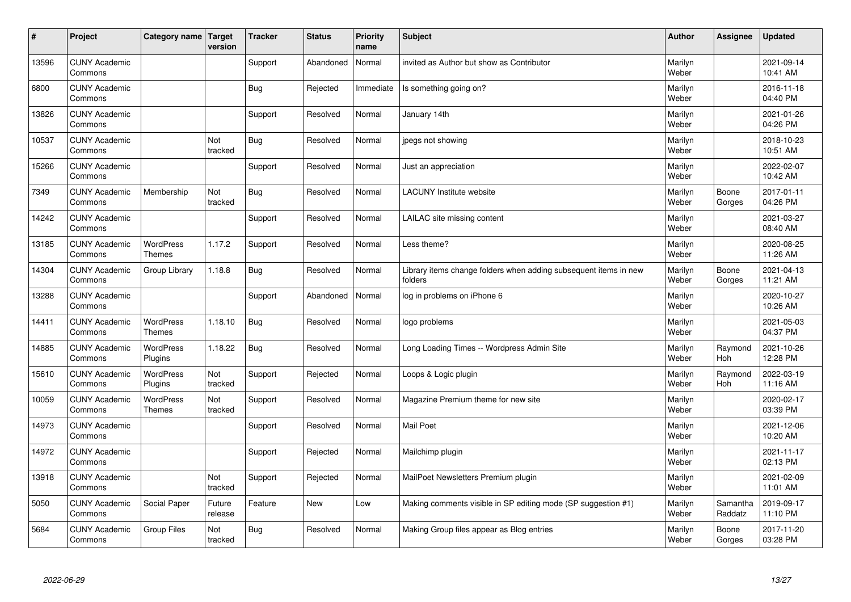| $\sharp$ | Project                         | Category name   Target            | version           | <b>Tracker</b> | <b>Status</b> | <b>Priority</b><br>name | <b>Subject</b>                                                              | <b>Author</b>    | Assignee              | <b>Updated</b>         |
|----------|---------------------------------|-----------------------------------|-------------------|----------------|---------------|-------------------------|-----------------------------------------------------------------------------|------------------|-----------------------|------------------------|
| 13596    | <b>CUNY Academic</b><br>Commons |                                   |                   | Support        | Abandoned     | Normal                  | invited as Author but show as Contributor                                   | Marilyn<br>Weber |                       | 2021-09-14<br>10:41 AM |
| 6800     | <b>CUNY Academic</b><br>Commons |                                   |                   | <b>Bug</b>     | Rejected      | Immediate               | Is something going on?                                                      | Marilyn<br>Weber |                       | 2016-11-18<br>04:40 PM |
| 13826    | <b>CUNY Academic</b><br>Commons |                                   |                   | Support        | Resolved      | Normal                  | January 14th                                                                | Marilyn<br>Weber |                       | 2021-01-26<br>04:26 PM |
| 10537    | <b>CUNY Academic</b><br>Commons |                                   | Not<br>tracked    | <b>Bug</b>     | Resolved      | Normal                  | jpegs not showing                                                           | Marilyn<br>Weber |                       | 2018-10-23<br>10:51 AM |
| 15266    | <b>CUNY Academic</b><br>Commons |                                   |                   | Support        | Resolved      | Normal                  | Just an appreciation                                                        | Marilyn<br>Weber |                       | 2022-02-07<br>10:42 AM |
| 7349     | <b>CUNY Academic</b><br>Commons | Membership                        | Not<br>tracked    | <b>Bug</b>     | Resolved      | Normal                  | <b>LACUNY Institute website</b>                                             | Marilyn<br>Weber | Boone<br>Gorges       | 2017-01-11<br>04:26 PM |
| 14242    | <b>CUNY Academic</b><br>Commons |                                   |                   | Support        | Resolved      | Normal                  | LAILAC site missing content                                                 | Marilyn<br>Weber |                       | 2021-03-27<br>08:40 AM |
| 13185    | <b>CUNY Academic</b><br>Commons | WordPress<br><b>Themes</b>        | 1.17.2            | Support        | Resolved      | Normal                  | Less theme?                                                                 | Marilyn<br>Weber |                       | 2020-08-25<br>11:26 AM |
| 14304    | <b>CUNY Academic</b><br>Commons | Group Library                     | 1.18.8            | <b>Bug</b>     | Resolved      | Normal                  | Library items change folders when adding subsequent items in new<br>folders | Marilyn<br>Weber | Boone<br>Gorges       | 2021-04-13<br>11:21 AM |
| 13288    | <b>CUNY Academic</b><br>Commons |                                   |                   | Support        | Abandoned     | Normal                  | log in problems on iPhone 6                                                 | Marilyn<br>Weber |                       | 2020-10-27<br>10:26 AM |
| 14411    | <b>CUNY Academic</b><br>Commons | <b>WordPress</b><br><b>Themes</b> | 1.18.10           | <b>Bug</b>     | Resolved      | Normal                  | logo problems                                                               | Marilyn<br>Weber |                       | 2021-05-03<br>04:37 PM |
| 14885    | <b>CUNY Academic</b><br>Commons | <b>WordPress</b><br>Plugins       | 1.18.22           | <b>Bug</b>     | Resolved      | Normal                  | Long Loading Times -- Wordpress Admin Site                                  | Marilyn<br>Weber | Raymond<br><b>Hoh</b> | 2021-10-26<br>12:28 PM |
| 15610    | <b>CUNY Academic</b><br>Commons | <b>WordPress</b><br>Plugins       | Not<br>tracked    | Support        | Rejected      | Normal                  | Loops & Logic plugin                                                        | Marilyn<br>Weber | Raymond<br>Hoh        | 2022-03-19<br>11:16 AM |
| 10059    | <b>CUNY Academic</b><br>Commons | <b>WordPress</b><br><b>Themes</b> | Not<br>tracked    | Support        | Resolved      | Normal                  | Magazine Premium theme for new site                                         | Marilyn<br>Weber |                       | 2020-02-17<br>03:39 PM |
| 14973    | <b>CUNY Academic</b><br>Commons |                                   |                   | Support        | Resolved      | Normal                  | <b>Mail Poet</b>                                                            | Marilyn<br>Weber |                       | 2021-12-06<br>10:20 AM |
| 14972    | <b>CUNY Academic</b><br>Commons |                                   |                   | Support        | Rejected      | Normal                  | Mailchimp plugin                                                            | Marilyn<br>Weber |                       | 2021-11-17<br>02:13 PM |
| 13918    | <b>CUNY Academic</b><br>Commons |                                   | Not<br>tracked    | Support        | Rejected      | Normal                  | MailPoet Newsletters Premium plugin                                         | Marilyn<br>Weber |                       | 2021-02-09<br>11:01 AM |
| 5050     | <b>CUNY Academic</b><br>Commons | Social Paper                      | Future<br>release | Feature        | New           | Low                     | Making comments visible in SP editing mode (SP suggestion #1)               | Marilyn<br>Weber | Samantha<br>Raddatz   | 2019-09-17<br>11:10 PM |
| 5684     | <b>CUNY Academic</b><br>Commons | <b>Group Files</b>                | Not<br>tracked    | Bug            | Resolved      | Normal                  | Making Group files appear as Blog entries                                   | Marilyn<br>Weber | Boone<br>Gorges       | 2017-11-20<br>03:28 PM |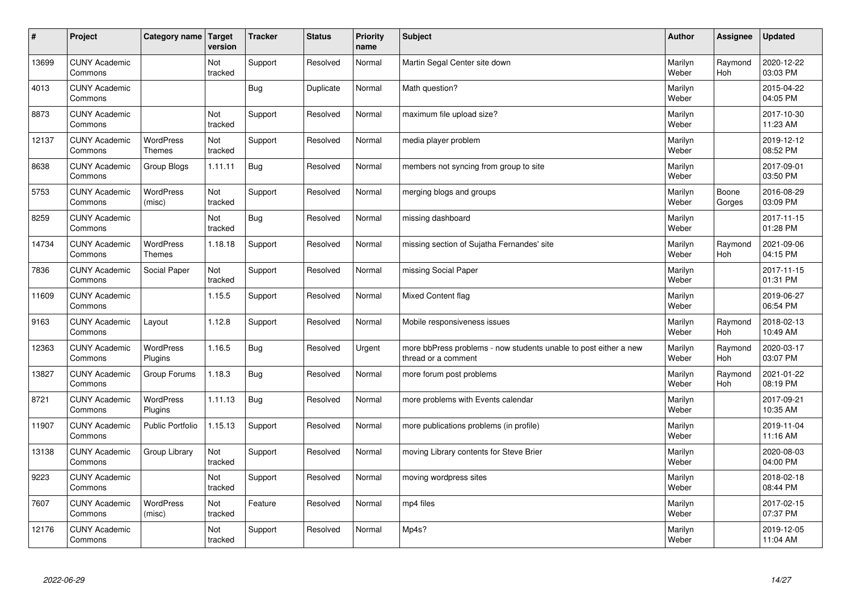| $\vert$ # | Project                         | Category name   Target            | version        | <b>Tracker</b> | <b>Status</b> | <b>Priority</b><br>name | <b>Subject</b>                                                                          | <b>Author</b>    | Assignee              | <b>Updated</b>         |
|-----------|---------------------------------|-----------------------------------|----------------|----------------|---------------|-------------------------|-----------------------------------------------------------------------------------------|------------------|-----------------------|------------------------|
| 13699     | <b>CUNY Academic</b><br>Commons |                                   | Not<br>tracked | Support        | Resolved      | Normal                  | Martin Segal Center site down                                                           | Marilyn<br>Weber | Raymond<br><b>Hoh</b> | 2020-12-22<br>03:03 PM |
| 4013      | <b>CUNY Academic</b><br>Commons |                                   |                | Bug            | Duplicate     | Normal                  | Math question?                                                                          | Marilyn<br>Weber |                       | 2015-04-22<br>04:05 PM |
| 8873      | <b>CUNY Academic</b><br>Commons |                                   | Not<br>tracked | Support        | Resolved      | Normal                  | maximum file upload size?                                                               | Marilyn<br>Weber |                       | 2017-10-30<br>11:23 AM |
| 12137     | <b>CUNY Academic</b><br>Commons | <b>WordPress</b><br><b>Themes</b> | Not<br>tracked | Support        | Resolved      | Normal                  | media player problem                                                                    | Marilyn<br>Weber |                       | 2019-12-12<br>08:52 PM |
| 8638      | <b>CUNY Academic</b><br>Commons | Group Blogs                       | 1.11.11        | <b>Bug</b>     | Resolved      | Normal                  | members not syncing from group to site                                                  | Marilyn<br>Weber |                       | 2017-09-01<br>03:50 PM |
| 5753      | <b>CUNY Academic</b><br>Commons | WordPress<br>(misc)               | Not<br>tracked | Support        | Resolved      | Normal                  | merging blogs and groups                                                                | Marilyn<br>Weber | Boone<br>Gorges       | 2016-08-29<br>03:09 PM |
| 8259      | <b>CUNY Academic</b><br>Commons |                                   | Not<br>tracked | <b>Bug</b>     | Resolved      | Normal                  | missing dashboard                                                                       | Marilyn<br>Weber |                       | 2017-11-15<br>01:28 PM |
| 14734     | <b>CUNY Academic</b><br>Commons | WordPress<br>Themes               | 1.18.18        | Support        | Resolved      | Normal                  | missing section of Sujatha Fernandes' site                                              | Marilyn<br>Weber | Raymond<br>Hoh        | 2021-09-06<br>04:15 PM |
| 7836      | <b>CUNY Academic</b><br>Commons | Social Paper                      | Not<br>tracked | Support        | Resolved      | Normal                  | missing Social Paper                                                                    | Marilyn<br>Weber |                       | 2017-11-15<br>01:31 PM |
| 11609     | <b>CUNY Academic</b><br>Commons |                                   | 1.15.5         | Support        | Resolved      | Normal                  | Mixed Content flag                                                                      | Marilyn<br>Weber |                       | 2019-06-27<br>06:54 PM |
| 9163      | <b>CUNY Academic</b><br>Commons | Layout                            | 1.12.8         | Support        | Resolved      | Normal                  | Mobile responsiveness issues                                                            | Marilyn<br>Weber | Raymond<br>Hoh        | 2018-02-13<br>10:49 AM |
| 12363     | <b>CUNY Academic</b><br>Commons | <b>WordPress</b><br>Plugins       | 1.16.5         | Bug            | Resolved      | Urgent                  | more bbPress problems - now students unable to post either a new<br>thread or a comment | Marilyn<br>Weber | Raymond<br>Hoh        | 2020-03-17<br>03:07 PM |
| 13827     | <b>CUNY Academic</b><br>Commons | Group Forums                      | 1.18.3         | <b>Bug</b>     | Resolved      | Normal                  | more forum post problems                                                                | Marilyn<br>Weber | Raymond<br>Hoh        | 2021-01-22<br>08:19 PM |
| 8721      | <b>CUNY Academic</b><br>Commons | WordPress<br>Plugins              | 1.11.13        | <b>Bug</b>     | Resolved      | Normal                  | more problems with Events calendar                                                      | Marilyn<br>Weber |                       | 2017-09-21<br>10:35 AM |
| 11907     | <b>CUNY Academic</b><br>Commons | <b>Public Portfolio</b>           | 1.15.13        | Support        | Resolved      | Normal                  | more publications problems (in profile)                                                 | Marilyn<br>Weber |                       | 2019-11-04<br>11:16 AM |
| 13138     | <b>CUNY Academic</b><br>Commons | Group Library                     | Not<br>tracked | Support        | Resolved      | Normal                  | moving Library contents for Steve Brier                                                 | Marilyn<br>Weber |                       | 2020-08-03<br>04:00 PM |
| 9223      | <b>CUNY Academic</b><br>Commons |                                   | Not<br>tracked | Support        | Resolved      | Normal                  | moving wordpress sites                                                                  | Marilyn<br>Weber |                       | 2018-02-18<br>08:44 PM |
| 7607      | <b>CUNY Academic</b><br>Commons | <b>WordPress</b><br>(misc)        | Not<br>tracked | Feature        | Resolved      | Normal                  | mp4 files                                                                               | Marilyn<br>Weber |                       | 2017-02-15<br>07:37 PM |
| 12176     | <b>CUNY Academic</b><br>Commons |                                   | Not<br>tracked | Support        | Resolved      | Normal                  | Mp4s?                                                                                   | Marilyn<br>Weber |                       | 2019-12-05<br>11:04 AM |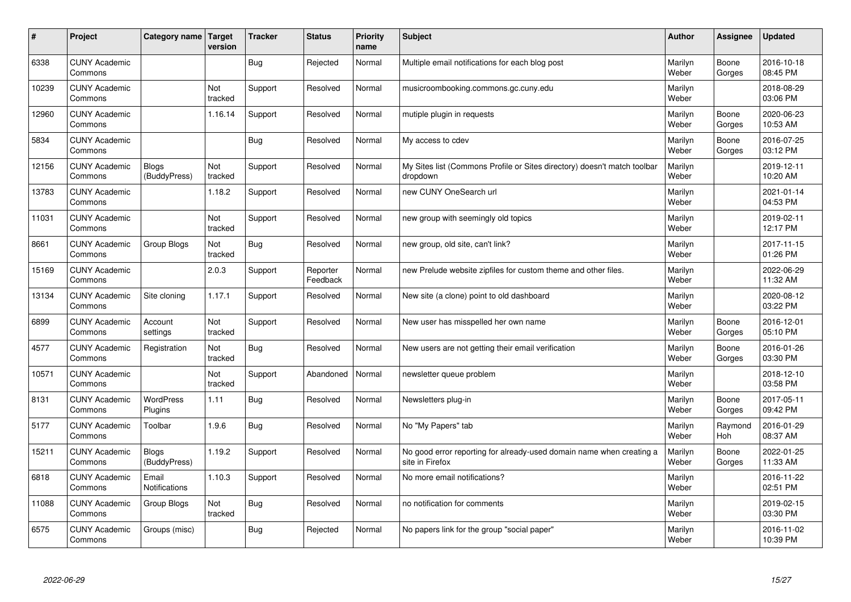| #     | Project                         | Category name   Target        | version        | <b>Tracker</b> | <b>Status</b>        | <b>Priority</b><br>name | <b>Subject</b>                                                                          | <b>Author</b>    | Assignee        | <b>Updated</b>         |
|-------|---------------------------------|-------------------------------|----------------|----------------|----------------------|-------------------------|-----------------------------------------------------------------------------------------|------------------|-----------------|------------------------|
| 6338  | <b>CUNY Academic</b><br>Commons |                               |                | Bug            | Rejected             | Normal                  | Multiple email notifications for each blog post                                         | Marilyn<br>Weber | Boone<br>Gorges | 2016-10-18<br>08:45 PM |
| 10239 | <b>CUNY Academic</b><br>Commons |                               | Not<br>tracked | Support        | Resolved             | Normal                  | musicroombooking.commons.gc.cuny.edu                                                    | Marilyn<br>Weber |                 | 2018-08-29<br>03:06 PM |
| 12960 | <b>CUNY Academic</b><br>Commons |                               | 1.16.14        | Support        | Resolved             | Normal                  | mutiple plugin in requests                                                              | Marilyn<br>Weber | Boone<br>Gorges | 2020-06-23<br>10:53 AM |
| 5834  | <b>CUNY Academic</b><br>Commons |                               |                | Bug            | Resolved             | Normal                  | My access to cdev                                                                       | Marilyn<br>Weber | Boone<br>Gorges | 2016-07-25<br>03:12 PM |
| 12156 | <b>CUNY Academic</b><br>Commons | <b>Blogs</b><br>(BuddyPress)  | Not<br>tracked | Support        | Resolved             | Normal                  | My Sites list (Commons Profile or Sites directory) doesn't match toolbar<br>dropdown    | Marilyn<br>Weber |                 | 2019-12-11<br>10:20 AM |
| 13783 | <b>CUNY Academic</b><br>Commons |                               | 1.18.2         | Support        | Resolved             | Normal                  | new CUNY OneSearch url                                                                  | Marilyn<br>Weber |                 | 2021-01-14<br>04:53 PM |
| 11031 | <b>CUNY Academic</b><br>Commons |                               | Not<br>tracked | Support        | Resolved             | Normal                  | new group with seemingly old topics                                                     | Marilyn<br>Weber |                 | 2019-02-11<br>12:17 PM |
| 8661  | <b>CUNY Academic</b><br>Commons | Group Blogs                   | Not<br>tracked | Bug            | Resolved             | Normal                  | new group, old site, can't link?                                                        | Marilyn<br>Weber |                 | 2017-11-15<br>01:26 PM |
| 15169 | <b>CUNY Academic</b><br>Commons |                               | 2.0.3          | Support        | Reporter<br>Feedback | Normal                  | new Prelude website zipfiles for custom theme and other files.                          | Marilyn<br>Weber |                 | 2022-06-29<br>11:32 AM |
| 13134 | <b>CUNY Academic</b><br>Commons | Site cloning                  | 1.17.1         | Support        | Resolved             | Normal                  | New site (a clone) point to old dashboard                                               | Marilyn<br>Weber |                 | 2020-08-12<br>03:22 PM |
| 6899  | <b>CUNY Academic</b><br>Commons | Account<br>settings           | Not<br>tracked | Support        | Resolved             | Normal                  | New user has misspelled her own name                                                    | Marilyn<br>Weber | Boone<br>Gorges | 2016-12-01<br>05:10 PM |
| 4577  | <b>CUNY Academic</b><br>Commons | Registration                  | Not<br>tracked | <b>Bug</b>     | Resolved             | Normal                  | New users are not getting their email verification                                      | Marilyn<br>Weber | Boone<br>Gorges | 2016-01-26<br>03:30 PM |
| 10571 | <b>CUNY Academic</b><br>Commons |                               | Not<br>tracked | Support        | Abandoned            | Normal                  | newsletter queue problem                                                                | Marilyn<br>Weber |                 | 2018-12-10<br>03:58 PM |
| 8131  | <b>CUNY Academic</b><br>Commons | <b>WordPress</b><br>Plugins   | 1.11           | Bug            | Resolved             | Normal                  | Newsletters plug-in                                                                     | Marilyn<br>Weber | Boone<br>Gorges | 2017-05-11<br>09:42 PM |
| 5177  | <b>CUNY Academic</b><br>Commons | Toolbar                       | 1.9.6          | Bug            | Resolved             | Normal                  | No "My Papers" tab                                                                      | Marilyn<br>Weber | Raymond<br>Hoh  | 2016-01-29<br>08:37 AM |
| 15211 | <b>CUNY Academic</b><br>Commons | <b>Blogs</b><br>(BuddyPress)  | 1.19.2         | Support        | Resolved             | Normal                  | No good error reporting for already-used domain name when creating a<br>site in Firefox | Marilyn<br>Weber | Boone<br>Gorges | 2022-01-25<br>11:33 AM |
| 6818  | <b>CUNY Academic</b><br>Commons | Email<br><b>Notifications</b> | 1.10.3         | Support        | Resolved             | Normal                  | No more email notifications?                                                            | Marilyn<br>Weber |                 | 2016-11-22<br>02:51 PM |
| 11088 | <b>CUNY Academic</b><br>Commons | Group Blogs                   | Not<br>tracked | Bug            | Resolved             | Normal                  | no notification for comments                                                            | Marilyn<br>Weber |                 | 2019-02-15<br>03:30 PM |
| 6575  | <b>CUNY Academic</b><br>Commons | Groups (misc)                 |                | <b>Bug</b>     | Rejected             | Normal                  | No papers link for the group "social paper"                                             | Marilyn<br>Weber |                 | 2016-11-02<br>10:39 PM |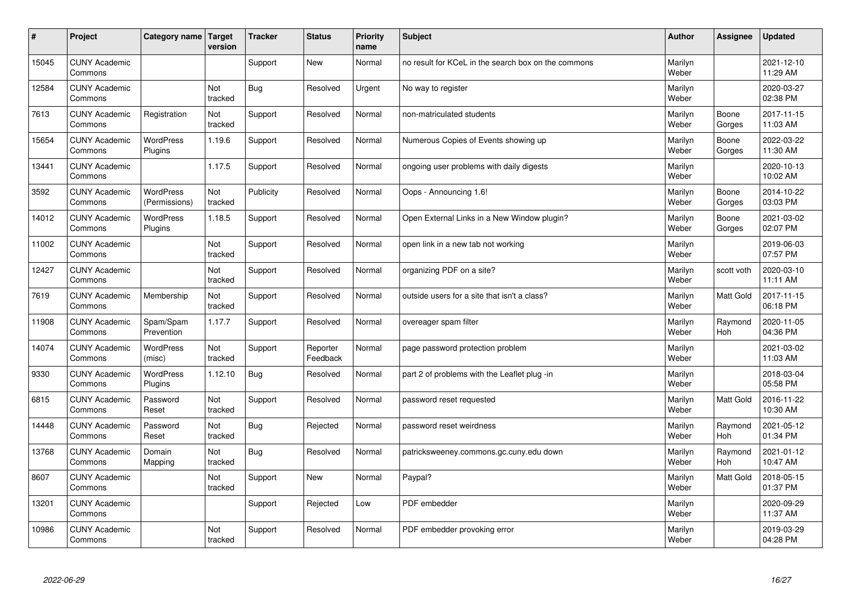| #     | Project                         | Category name   Target            | version        | <b>Tracker</b> | <b>Status</b>        | <b>Priority</b><br>name | <b>Subject</b>                                      | <b>Author</b>    | Assignee              | Updated                |
|-------|---------------------------------|-----------------------------------|----------------|----------------|----------------------|-------------------------|-----------------------------------------------------|------------------|-----------------------|------------------------|
| 15045 | <b>CUNY Academic</b><br>Commons |                                   |                | Support        | <b>New</b>           | Normal                  | no result for KCeL in the search box on the commons | Marilyn<br>Weber |                       | 2021-12-10<br>11:29 AM |
| 12584 | <b>CUNY Academic</b><br>Commons |                                   | Not<br>tracked | Bug            | Resolved             | Urgent                  | No way to register                                  | Marilyn<br>Weber |                       | 2020-03-27<br>02:38 PM |
| 7613  | <b>CUNY Academic</b><br>Commons | Registration                      | Not<br>tracked | Support        | Resolved             | Normal                  | non-matriculated students                           | Marilyn<br>Weber | Boone<br>Gorges       | 2017-11-15<br>11:03 AM |
| 15654 | <b>CUNY Academic</b><br>Commons | <b>WordPress</b><br>Plugins       | 1.19.6         | Support        | Resolved             | Normal                  | Numerous Copies of Events showing up                | Marilyn<br>Weber | Boone<br>Gorges       | 2022-03-22<br>11:30 AM |
| 13441 | <b>CUNY Academic</b><br>Commons |                                   | 1.17.5         | Support        | Resolved             | Normal                  | ongoing user problems with daily digests            | Marilyn<br>Weber |                       | 2020-10-13<br>10:02 AM |
| 3592  | <b>CUNY Academic</b><br>Commons | <b>WordPress</b><br>(Permissions) | Not<br>tracked | Publicity      | Resolved             | Normal                  | Oops - Announcing 1.6!                              | Marilyn<br>Weber | Boone<br>Gorges       | 2014-10-22<br>03:03 PM |
| 14012 | <b>CUNY Academic</b><br>Commons | <b>WordPress</b><br>Plugins       | 1.18.5         | Support        | Resolved             | Normal                  | Open External Links in a New Window plugin?         | Marilyn<br>Weber | Boone<br>Gorges       | 2021-03-02<br>02:07 PM |
| 11002 | <b>CUNY Academic</b><br>Commons |                                   | Not<br>tracked | Support        | Resolved             | Normal                  | open link in a new tab not working                  | Marilyn<br>Weber |                       | 2019-06-03<br>07:57 PM |
| 12427 | <b>CUNY Academic</b><br>Commons |                                   | Not<br>tracked | Support        | Resolved             | Normal                  | organizing PDF on a site?                           | Marilyn<br>Weber | scott voth            | 2020-03-10<br>11:11 AM |
| 7619  | <b>CUNY Academic</b><br>Commons | Membership                        | Not<br>tracked | Support        | Resolved             | Normal                  | outside users for a site that isn't a class?        | Marilyn<br>Weber | <b>Matt Gold</b>      | 2017-11-15<br>06:18 PM |
| 11908 | <b>CUNY Academic</b><br>Commons | Spam/Spam<br>Prevention           | 1.17.7         | Support        | Resolved             | Normal                  | overeager spam filter                               | Marilyn<br>Weber | Raymond<br><b>Hoh</b> | 2020-11-05<br>04:36 PM |
| 14074 | <b>CUNY Academic</b><br>Commons | <b>WordPress</b><br>(misc)        | Not<br>tracked | Support        | Reporter<br>Feedback | Normal                  | page password protection problem                    | Marilyn<br>Weber |                       | 2021-03-02<br>11:03 AM |
| 9330  | <b>CUNY Academic</b><br>Commons | <b>WordPress</b><br>Plugins       | 1.12.10        | Bug            | Resolved             | Normal                  | part 2 of problems with the Leaflet plug -in        | Marilyn<br>Weber |                       | 2018-03-04<br>05:58 PM |
| 6815  | <b>CUNY Academic</b><br>Commons | Password<br>Reset                 | Not<br>tracked | Support        | Resolved             | Normal                  | password reset requested                            | Marilyn<br>Weber | <b>Matt Gold</b>      | 2016-11-22<br>10:30 AM |
| 14448 | <b>CUNY Academic</b><br>Commons | Password<br>Reset                 | Not<br>tracked | <b>Bug</b>     | Rejected             | Normal                  | password reset weirdness                            | Marilyn<br>Weber | Raymond<br><b>Hoh</b> | 2021-05-12<br>01:34 PM |
| 13768 | <b>CUNY Academic</b><br>Commons | Domain<br>Mapping                 | Not<br>tracked | Bug            | Resolved             | Normal                  | patricksweeney.commons.gc.cuny.edu down             | Marilyn<br>Weber | Raymond<br>Hoh        | 2021-01-12<br>10:47 AM |
| 8607  | <b>CUNY Academic</b><br>Commons |                                   | Not<br>tracked | Support        | <b>New</b>           | Normal                  | Paypal?                                             | Marilyn<br>Weber | <b>Matt Gold</b>      | 2018-05-15<br>01:37 PM |
| 13201 | <b>CUNY Academic</b><br>Commons |                                   |                | Support        | Rejected             | Low                     | PDF embedder                                        | Marilyn<br>Weber |                       | 2020-09-29<br>11:37 AM |
| 10986 | <b>CUNY Academic</b><br>Commons |                                   | Not<br>tracked | Support        | Resolved             | Normal                  | PDF embedder provoking error                        | Marilyn<br>Weber |                       | 2019-03-29<br>04:28 PM |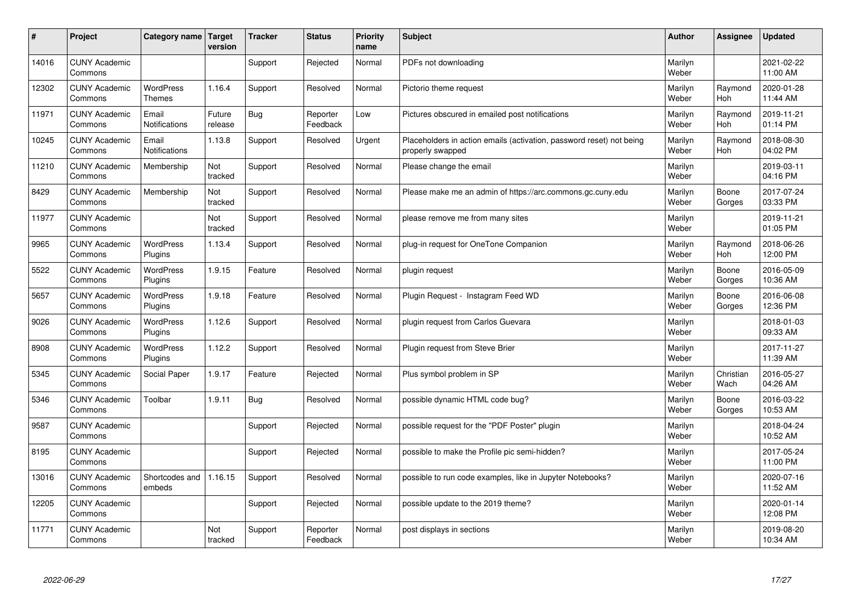| $\sharp$ | Project                         | Category name   Target            | version           | <b>Tracker</b> | <b>Status</b>        | <b>Priority</b><br>name | <b>Subject</b>                                                                           | <b>Author</b>    | Assignee              | <b>Updated</b>         |
|----------|---------------------------------|-----------------------------------|-------------------|----------------|----------------------|-------------------------|------------------------------------------------------------------------------------------|------------------|-----------------------|------------------------|
| 14016    | <b>CUNY Academic</b><br>Commons |                                   |                   | Support        | Rejected             | Normal                  | PDFs not downloading                                                                     | Marilyn<br>Weber |                       | 2021-02-22<br>11:00 AM |
| 12302    | <b>CUNY Academic</b><br>Commons | <b>WordPress</b><br><b>Themes</b> | 1.16.4            | Support        | Resolved             | Normal                  | Pictorio theme request                                                                   | Marilyn<br>Weber | Raymond<br><b>Hoh</b> | 2020-01-28<br>11:44 AM |
| 11971    | <b>CUNY Academic</b><br>Commons | Email<br>Notifications            | Future<br>release | Bug            | Reporter<br>Feedback | Low                     | Pictures obscured in emailed post notifications                                          | Marilyn<br>Weber | Raymond<br>Hoh        | 2019-11-21<br>01:14 PM |
| 10245    | <b>CUNY Academic</b><br>Commons | Email<br>Notifications            | 1.13.8            | Support        | Resolved             | Urgent                  | Placeholders in action emails (activation, password reset) not being<br>properly swapped | Marilyn<br>Weber | Raymond<br>Hoh        | 2018-08-30<br>04:02 PM |
| 11210    | <b>CUNY Academic</b><br>Commons | Membership                        | Not<br>tracked    | Support        | Resolved             | Normal                  | Please change the email                                                                  | Marilyn<br>Weber |                       | 2019-03-11<br>04:16 PM |
| 8429     | <b>CUNY Academic</b><br>Commons | Membership                        | Not<br>tracked    | Support        | Resolved             | Normal                  | Please make me an admin of https://arc.commons.gc.cuny.edu                               | Marilyn<br>Weber | Boone<br>Gorges       | 2017-07-24<br>03:33 PM |
| 11977    | <b>CUNY Academic</b><br>Commons |                                   | Not<br>tracked    | Support        | Resolved             | Normal                  | please remove me from many sites                                                         | Marilyn<br>Weber |                       | 2019-11-21<br>01:05 PM |
| 9965     | <b>CUNY Academic</b><br>Commons | WordPress<br>Plugins              | 1.13.4            | Support        | Resolved             | Normal                  | plug-in request for OneTone Companion                                                    | Marilyn<br>Weber | Raymond<br>Hoh        | 2018-06-26<br>12:00 PM |
| 5522     | <b>CUNY Academic</b><br>Commons | WordPress<br>Plugins              | 1.9.15            | Feature        | Resolved             | Normal                  | plugin request                                                                           | Marilyn<br>Weber | Boone<br>Gorges       | 2016-05-09<br>10:36 AM |
| 5657     | <b>CUNY Academic</b><br>Commons | WordPress<br>Plugins              | 1.9.18            | Feature        | Resolved             | Normal                  | Plugin Reguest - Instagram Feed WD                                                       | Marilyn<br>Weber | Boone<br>Gorges       | 2016-06-08<br>12:36 PM |
| 9026     | <b>CUNY Academic</b><br>Commons | <b>WordPress</b><br>Plugins       | 1.12.6            | Support        | Resolved             | Normal                  | plugin request from Carlos Guevara                                                       | Marilyn<br>Weber |                       | 2018-01-03<br>09:33 AM |
| 8908     | <b>CUNY Academic</b><br>Commons | <b>WordPress</b><br>Plugins       | 1.12.2            | Support        | Resolved             | Normal                  | Plugin request from Steve Brier                                                          | Marilyn<br>Weber |                       | 2017-11-27<br>11:39 AM |
| 5345     | <b>CUNY Academic</b><br>Commons | Social Paper                      | 1.9.17            | Feature        | Rejected             | Normal                  | Plus symbol problem in SP                                                                | Marilyn<br>Weber | Christian<br>Wach     | 2016-05-27<br>04:26 AM |
| 5346     | <b>CUNY Academic</b><br>Commons | Toolbar                           | 1.9.11            | <b>Bug</b>     | Resolved             | Normal                  | possible dynamic HTML code bug?                                                          | Marilyn<br>Weber | Boone<br>Gorges       | 2016-03-22<br>10:53 AM |
| 9587     | <b>CUNY Academic</b><br>Commons |                                   |                   | Support        | Rejected             | Normal                  | possible request for the "PDF Poster" plugin                                             | Marilyn<br>Weber |                       | 2018-04-24<br>10:52 AM |
| 8195     | <b>CUNY Academic</b><br>Commons |                                   |                   | Support        | Rejected             | Normal                  | possible to make the Profile pic semi-hidden?                                            | Marilyn<br>Weber |                       | 2017-05-24<br>11:00 PM |
| 13016    | <b>CUNY Academic</b><br>Commons | Shortcodes and<br>embeds          | 1.16.15           | Support        | Resolved             | Normal                  | possible to run code examples, like in Jupyter Notebooks?                                | Marilyn<br>Weber |                       | 2020-07-16<br>11:52 AM |
| 12205    | <b>CUNY Academic</b><br>Commons |                                   |                   | Support        | Rejected             | Normal                  | possible update to the 2019 theme?                                                       | Marilyn<br>Weber |                       | 2020-01-14<br>12:08 PM |
| 11771    | <b>CUNY Academic</b><br>Commons |                                   | Not<br>tracked    | Support        | Reporter<br>Feedback | Normal                  | post displays in sections                                                                | Marilyn<br>Weber |                       | 2019-08-20<br>10:34 AM |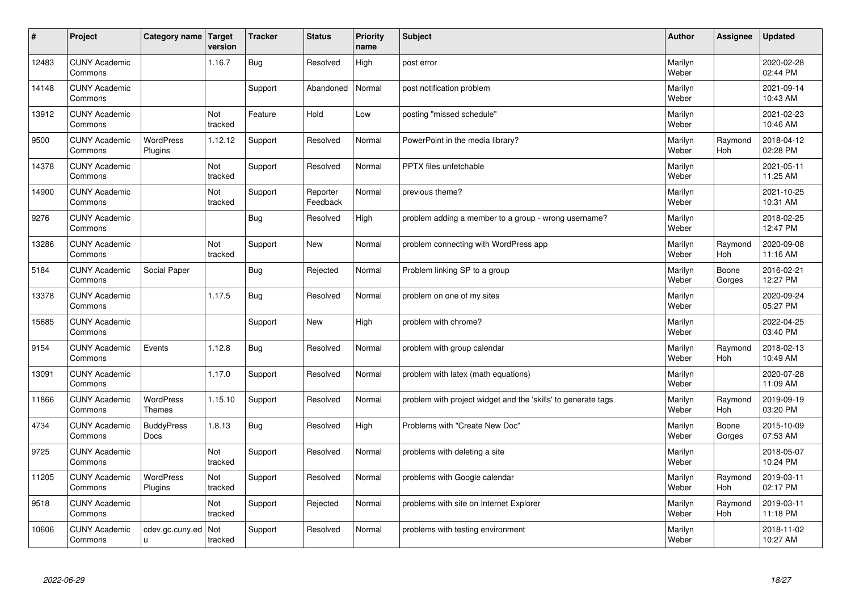| #     | Project                         | Category name   Target           | version               | <b>Tracker</b> | <b>Status</b>        | <b>Priority</b><br>name | <b>Subject</b>                                                | <b>Author</b>    | Assignee              | <b>Updated</b>         |
|-------|---------------------------------|----------------------------------|-----------------------|----------------|----------------------|-------------------------|---------------------------------------------------------------|------------------|-----------------------|------------------------|
| 12483 | <b>CUNY Academic</b><br>Commons |                                  | 1.16.7                | <b>Bug</b>     | Resolved             | High                    | post error                                                    | Marilyn<br>Weber |                       | 2020-02-28<br>02:44 PM |
| 14148 | <b>CUNY Academic</b><br>Commons |                                  |                       | Support        | Abandoned            | Normal                  | post notification problem                                     | Marilyn<br>Weber |                       | 2021-09-14<br>10:43 AM |
| 13912 | <b>CUNY Academic</b><br>Commons |                                  | Not<br>tracked        | Feature        | Hold                 | Low                     | posting "missed schedule"                                     | Marilyn<br>Weber |                       | 2021-02-23<br>10:46 AM |
| 9500  | <b>CUNY Academic</b><br>Commons | <b>WordPress</b><br>Plugins      | 1.12.12               | Support        | Resolved             | Normal                  | PowerPoint in the media library?                              | Marilyn<br>Weber | Raymond<br>Hoh        | 2018-04-12<br>02:28 PM |
| 14378 | <b>CUNY Academic</b><br>Commons |                                  | Not<br>tracked        | Support        | Resolved             | Normal                  | <b>PPTX</b> files unfetchable                                 | Marilyn<br>Weber |                       | 2021-05-11<br>11:25 AM |
| 14900 | <b>CUNY Academic</b><br>Commons |                                  | <b>Not</b><br>tracked | Support        | Reporter<br>Feedback | Normal                  | previous theme?                                               | Marilyn<br>Weber |                       | 2021-10-25<br>10:31 AM |
| 9276  | <b>CUNY Academic</b><br>Commons |                                  |                       | <b>Bug</b>     | Resolved             | High                    | problem adding a member to a group - wrong username?          | Marilyn<br>Weber |                       | 2018-02-25<br>12:47 PM |
| 13286 | <b>CUNY Academic</b><br>Commons |                                  | Not<br>tracked        | Support        | <b>New</b>           | Normal                  | problem connecting with WordPress app                         | Marilyn<br>Weber | Raymond<br>Hoh        | 2020-09-08<br>11:16 AM |
| 5184  | <b>CUNY Academic</b><br>Commons | Social Paper                     |                       | <b>Bug</b>     | Rejected             | Normal                  | Problem linking SP to a group                                 | Marilyn<br>Weber | Boone<br>Gorges       | 2016-02-21<br>12:27 PM |
| 13378 | <b>CUNY Academic</b><br>Commons |                                  | 1.17.5                | Bug            | Resolved             | Normal                  | problem on one of my sites                                    | Marilyn<br>Weber |                       | 2020-09-24<br>05:27 PM |
| 15685 | <b>CUNY Academic</b><br>Commons |                                  |                       | Support        | New                  | High                    | problem with chrome?                                          | Marilyn<br>Weber |                       | 2022-04-25<br>03:40 PM |
| 9154  | <b>CUNY Academic</b><br>Commons | Events                           | 1.12.8                | <b>Bug</b>     | Resolved             | Normal                  | problem with group calendar                                   | Marilyn<br>Weber | Raymond<br>Hoh        | 2018-02-13<br>10:49 AM |
| 13091 | <b>CUNY Academic</b><br>Commons |                                  | 1.17.0                | Support        | Resolved             | Normal                  | problem with latex (math equations)                           | Marilyn<br>Weber |                       | 2020-07-28<br>11:09 AM |
| 11866 | <b>CUNY Academic</b><br>Commons | WordPress<br><b>Themes</b>       | 1.15.10               | Support        | Resolved             | Normal                  | problem with project widget and the 'skills' to generate tags | Marilyn<br>Weber | Raymond<br><b>Hoh</b> | 2019-09-19<br>03:20 PM |
| 4734  | <b>CUNY Academic</b><br>Commons | <b>BuddyPress</b><br><b>Docs</b> | 1.8.13                | <b>Bug</b>     | Resolved             | High                    | Problems with "Create New Doc"                                | Marilyn<br>Weber | Boone<br>Gorges       | 2015-10-09<br>07:53 AM |
| 9725  | <b>CUNY Academic</b><br>Commons |                                  | Not<br>tracked        | Support        | Resolved             | Normal                  | problems with deleting a site                                 | Marilyn<br>Weber |                       | 2018-05-07<br>10:24 PM |
| 11205 | <b>CUNY Academic</b><br>Commons | WordPress<br>Plugins             | Not<br>tracked        | Support        | Resolved             | Normal                  | problems with Google calendar                                 | Marilyn<br>Weber | Raymond<br>Hoh        | 2019-03-11<br>02:17 PM |
| 9518  | <b>CUNY Academic</b><br>Commons |                                  | Not<br>tracked        | Support        | Rejected             | Normal                  | problems with site on Internet Explorer                       | Marilyn<br>Weber | Raymond<br><b>Hoh</b> | 2019-03-11<br>11:18 PM |
| 10606 | <b>CUNY Academic</b><br>Commons | cdev.gc.cuny.ed<br>ū             | Not<br>tracked        | Support        | Resolved             | Normal                  | problems with testing environment                             | Marilyn<br>Weber |                       | 2018-11-02<br>10:27 AM |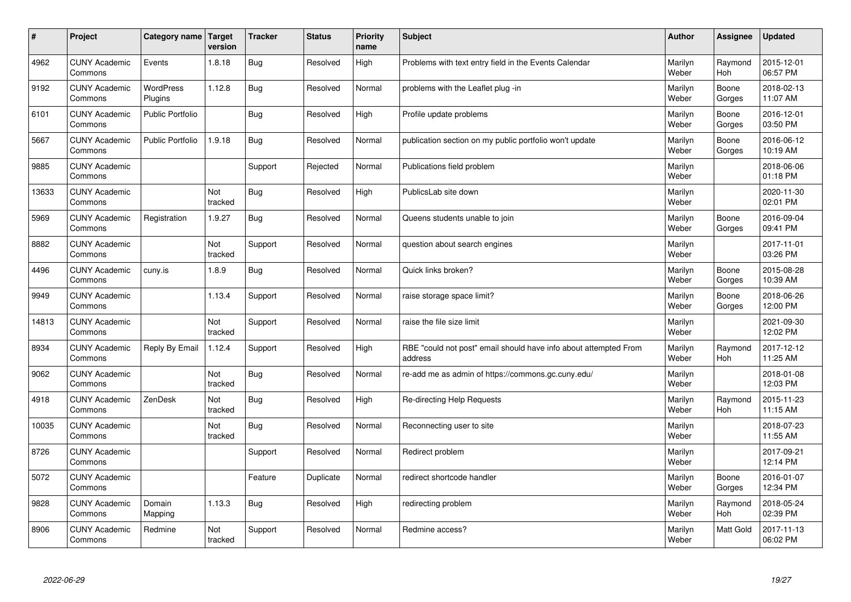| #     | Project                         | <b>Category name</b>        | Target<br>version | <b>Tracker</b> | <b>Status</b> | <b>Priority</b><br>name | <b>Subject</b>                                                              | <b>Author</b>    | <b>Assignee</b> | <b>Updated</b>         |
|-------|---------------------------------|-----------------------------|-------------------|----------------|---------------|-------------------------|-----------------------------------------------------------------------------|------------------|-----------------|------------------------|
| 4962  | <b>CUNY Academic</b><br>Commons | Events                      | 1.8.18            | Bug            | Resolved      | High                    | Problems with text entry field in the Events Calendar                       | Marilyn<br>Weber | Raymond<br>Hoh  | 2015-12-01<br>06:57 PM |
| 9192  | <b>CUNY Academic</b><br>Commons | <b>WordPress</b><br>Plugins | 1.12.8            | Bug            | Resolved      | Normal                  | problems with the Leaflet plug -in                                          | Marilyn<br>Weber | Boone<br>Gorges | 2018-02-13<br>11:07 AM |
| 6101  | <b>CUNY Academic</b><br>Commons | <b>Public Portfolio</b>     |                   | <b>Bug</b>     | Resolved      | High                    | Profile update problems                                                     | Marilyn<br>Weber | Boone<br>Gorges | 2016-12-01<br>03:50 PM |
| 5667  | <b>CUNY Academic</b><br>Commons | <b>Public Portfolio</b>     | 1.9.18            | <b>Bug</b>     | Resolved      | Normal                  | publication section on my public portfolio won't update                     | Marilyn<br>Weber | Boone<br>Gorges | 2016-06-12<br>10:19 AM |
| 9885  | <b>CUNY Academic</b><br>Commons |                             |                   | Support        | Rejected      | Normal                  | Publications field problem                                                  | Marilyn<br>Weber |                 | 2018-06-06<br>01:18 PM |
| 13633 | <b>CUNY Academic</b><br>Commons |                             | Not<br>tracked    | <b>Bug</b>     | Resolved      | High                    | PublicsLab site down                                                        | Marilyn<br>Weber |                 | 2020-11-30<br>02:01 PM |
| 5969  | <b>CUNY Academic</b><br>Commons | Registration                | 1.9.27            | <b>Bug</b>     | Resolved      | Normal                  | Queens students unable to join                                              | Marilyn<br>Weber | Boone<br>Gorges | 2016-09-04<br>09:41 PM |
| 8882  | <b>CUNY Academic</b><br>Commons |                             | Not<br>tracked    | Support        | Resolved      | Normal                  | question about search engines                                               | Marilyn<br>Weber |                 | 2017-11-01<br>03:26 PM |
| 4496  | <b>CUNY Academic</b><br>Commons | cuny.is                     | 1.8.9             | Bug            | Resolved      | Normal                  | Quick links broken?                                                         | Marilyn<br>Weber | Boone<br>Gorges | 2015-08-28<br>10:39 AM |
| 9949  | <b>CUNY Academic</b><br>Commons |                             | 1.13.4            | Support        | Resolved      | Normal                  | raise storage space limit?                                                  | Marilyn<br>Weber | Boone<br>Gorges | 2018-06-26<br>12:00 PM |
| 14813 | <b>CUNY Academic</b><br>Commons |                             | Not<br>tracked    | Support        | Resolved      | Normal                  | raise the file size limit                                                   | Marilyn<br>Weber |                 | 2021-09-30<br>12:02 PM |
| 8934  | <b>CUNY Academic</b><br>Commons | Reply By Email              | 1.12.4            | Support        | Resolved      | High                    | RBE "could not post" email should have info about attempted From<br>address | Marilyn<br>Weber | Raymond<br>Hoh  | 2017-12-12<br>11:25 AM |
| 9062  | <b>CUNY Academic</b><br>Commons |                             | Not<br>tracked    | <b>Bug</b>     | Resolved      | Normal                  | re-add me as admin of https://commons.gc.cuny.edu/                          | Marilyn<br>Weber |                 | 2018-01-08<br>12:03 PM |
| 4918  | <b>CUNY Academic</b><br>Commons | ZenDesk                     | Not<br>tracked    | <b>Bug</b>     | Resolved      | High                    | Re-directing Help Requests                                                  | Marilyn<br>Weber | Raymond<br>Hoh  | 2015-11-23<br>11:15 AM |
| 10035 | <b>CUNY Academic</b><br>Commons |                             | Not<br>tracked    | Bug            | Resolved      | Normal                  | Reconnecting user to site                                                   | Marilyn<br>Weber |                 | 2018-07-23<br>11:55 AM |
| 8726  | <b>CUNY Academic</b><br>Commons |                             |                   | Support        | Resolved      | Normal                  | Redirect problem                                                            | Marilyn<br>Weber |                 | 2017-09-21<br>12:14 PM |
| 5072  | <b>CUNY Academic</b><br>Commons |                             |                   | Feature        | Duplicate     | Normal                  | redirect shortcode handler                                                  | Marilyn<br>Weber | Boone<br>Gorges | 2016-01-07<br>12:34 PM |
| 9828  | <b>CUNY Academic</b><br>Commons | Domain<br>Mapping           | 1.13.3            | <b>Bug</b>     | Resolved      | High                    | redirecting problem                                                         | Marilyn<br>Weber | Raymond<br>Hoh  | 2018-05-24<br>02:39 PM |
| 8906  | <b>CUNY Academic</b><br>Commons | Redmine                     | Not<br>tracked    | Support        | Resolved      | Normal                  | Redmine access?                                                             | Marilyn<br>Weber | Matt Gold       | 2017-11-13<br>06:02 PM |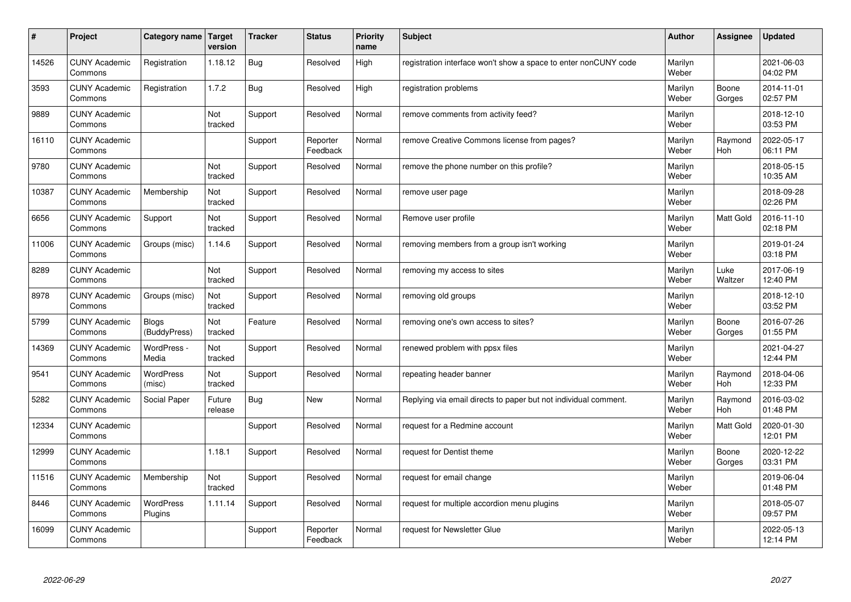| #     | Project                         | Category name                | Target<br>version | <b>Tracker</b> | <b>Status</b>        | <b>Priority</b><br>name | <b>Subject</b>                                                  | <b>Author</b>    | Assignee              | <b>Updated</b>         |
|-------|---------------------------------|------------------------------|-------------------|----------------|----------------------|-------------------------|-----------------------------------------------------------------|------------------|-----------------------|------------------------|
| 14526 | <b>CUNY Academic</b><br>Commons | Registration                 | 1.18.12           | Bug            | Resolved             | High                    | registration interface won't show a space to enter nonCUNY code | Marilyn<br>Weber |                       | 2021-06-03<br>04:02 PM |
| 3593  | <b>CUNY Academic</b><br>Commons | Registration                 | 1.7.2             | Bug            | Resolved             | High                    | registration problems                                           | Marilyn<br>Weber | Boone<br>Gorges       | 2014-11-01<br>02:57 PM |
| 9889  | <b>CUNY Academic</b><br>Commons |                              | Not<br>tracked    | Support        | Resolved             | Normal                  | remove comments from activity feed?                             | Marilyn<br>Weber |                       | 2018-12-10<br>03:53 PM |
| 16110 | <b>CUNY Academic</b><br>Commons |                              |                   | Support        | Reporter<br>Feedback | Normal                  | remove Creative Commons license from pages?                     | Marilyn<br>Weber | Raymond<br><b>Hoh</b> | 2022-05-17<br>06:11 PM |
| 9780  | <b>CUNY Academic</b><br>Commons |                              | Not<br>tracked    | Support        | Resolved             | Normal                  | remove the phone number on this profile?                        | Marilyn<br>Weber |                       | 2018-05-15<br>10:35 AM |
| 10387 | <b>CUNY Academic</b><br>Commons | Membership                   | Not<br>tracked    | Support        | Resolved             | Normal                  | remove user page                                                | Marilyn<br>Weber |                       | 2018-09-28<br>02:26 PM |
| 6656  | <b>CUNY Academic</b><br>Commons | Support                      | Not<br>tracked    | Support        | Resolved             | Normal                  | Remove user profile                                             | Marilyn<br>Weber | Matt Gold             | 2016-11-10<br>02:18 PM |
| 11006 | <b>CUNY Academic</b><br>Commons | Groups (misc)                | 1.14.6            | Support        | Resolved             | Normal                  | removing members from a group isn't working                     | Marilyn<br>Weber |                       | 2019-01-24<br>03:18 PM |
| 8289  | <b>CUNY Academic</b><br>Commons |                              | Not<br>tracked    | Support        | Resolved             | Normal                  | removing my access to sites                                     | Marilyn<br>Weber | Luke<br>Waltzer       | 2017-06-19<br>12:40 PM |
| 8978  | <b>CUNY Academic</b><br>Commons | Groups (misc)                | Not<br>tracked    | Support        | Resolved             | Normal                  | removing old groups                                             | Marilyn<br>Weber |                       | 2018-12-10<br>03:52 PM |
| 5799  | <b>CUNY Academic</b><br>Commons | <b>Blogs</b><br>(BuddyPress) | Not<br>tracked    | Feature        | Resolved             | Normal                  | removing one's own access to sites?                             | Marilyn<br>Weber | Boone<br>Gorges       | 2016-07-26<br>01:55 PM |
| 14369 | <b>CUNY Academic</b><br>Commons | WordPress -<br>Media         | Not<br>tracked    | Support        | Resolved             | Normal                  | renewed problem with ppsx files                                 | Marilyn<br>Weber |                       | 2021-04-27<br>12:44 PM |
| 9541  | <b>CUNY Academic</b><br>Commons | WordPress<br>(misc)          | Not<br>tracked    | Support        | Resolved             | Normal                  | repeating header banner                                         | Marilyn<br>Weber | Raymond<br>Hoh        | 2018-04-06<br>12:33 PM |
| 5282  | <b>CUNY Academic</b><br>Commons | Social Paper                 | Future<br>release | Bug            | <b>New</b>           | Normal                  | Replying via email directs to paper but not individual comment. | Marilyn<br>Weber | Raymond<br><b>Hoh</b> | 2016-03-02<br>01:48 PM |
| 12334 | <b>CUNY Academic</b><br>Commons |                              |                   | Support        | Resolved             | Normal                  | request for a Redmine account                                   | Marilyn<br>Weber | <b>Matt Gold</b>      | 2020-01-30<br>12:01 PM |
| 12999 | <b>CUNY Academic</b><br>Commons |                              | 1.18.1            | Support        | Resolved             | Normal                  | request for Dentist theme                                       | Marilyn<br>Weber | Boone<br>Gorges       | 2020-12-22<br>03:31 PM |
| 11516 | <b>CUNY Academic</b><br>Commons | Membership                   | Not<br>tracked    | Support        | Resolved             | Normal                  | request for email change                                        | Marilyn<br>Weber |                       | 2019-06-04<br>01:48 PM |
| 8446  | <b>CUNY Academic</b><br>Commons | <b>WordPress</b><br>Plugins  | 1.11.14           | Support        | Resolved             | Normal                  | request for multiple accordion menu plugins                     | Marilyn<br>Weber |                       | 2018-05-07<br>09:57 PM |
| 16099 | <b>CUNY Academic</b><br>Commons |                              |                   | Support        | Reporter<br>Feedback | Normal                  | request for Newsletter Glue                                     | Marilyn<br>Weber |                       | 2022-05-13<br>12:14 PM |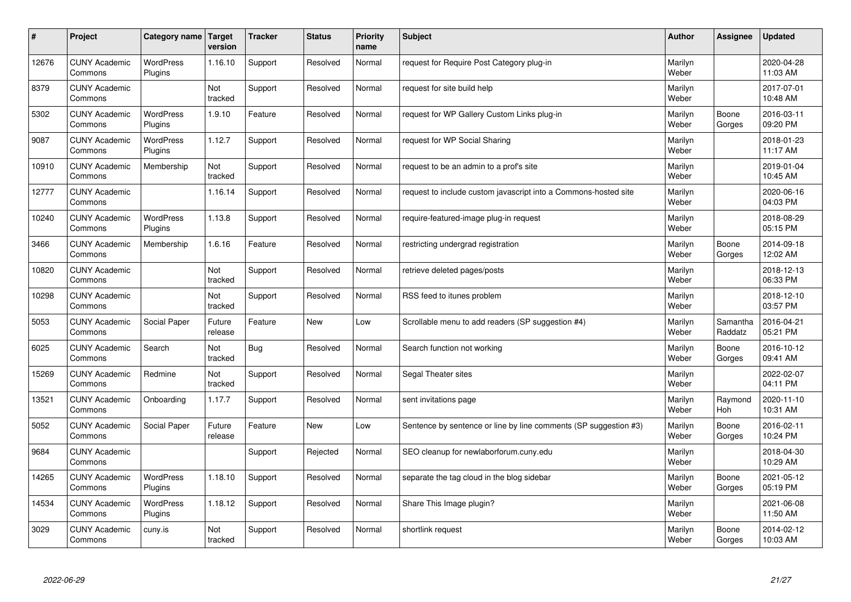| $\sharp$ | Project                         | Category name               | <b>Target</b><br>version | <b>Tracker</b> | <b>Status</b> | <b>Priority</b><br>name | <b>Subject</b>                                                   | <b>Author</b>    | Assignee              | Updated                |
|----------|---------------------------------|-----------------------------|--------------------------|----------------|---------------|-------------------------|------------------------------------------------------------------|------------------|-----------------------|------------------------|
| 12676    | <b>CUNY Academic</b><br>Commons | <b>WordPress</b><br>Plugins | 1.16.10                  | Support        | Resolved      | Normal                  | request for Require Post Category plug-in                        | Marilyn<br>Weber |                       | 2020-04-28<br>11:03 AM |
| 8379     | <b>CUNY Academic</b><br>Commons |                             | Not<br>tracked           | Support        | Resolved      | Normal                  | request for site build help                                      | Marilyn<br>Weber |                       | 2017-07-01<br>10:48 AM |
| 5302     | <b>CUNY Academic</b><br>Commons | <b>WordPress</b><br>Plugins | 1.9.10                   | Feature        | Resolved      | Normal                  | request for WP Gallery Custom Links plug-in                      | Marilyn<br>Weber | Boone<br>Gorges       | 2016-03-11<br>09:20 PM |
| 9087     | <b>CUNY Academic</b><br>Commons | <b>WordPress</b><br>Plugins | 1.12.7                   | Support        | Resolved      | Normal                  | request for WP Social Sharing                                    | Marilyn<br>Weber |                       | 2018-01-23<br>11:17 AM |
| 10910    | <b>CUNY Academic</b><br>Commons | Membership                  | Not<br>tracked           | Support        | Resolved      | Normal                  | request to be an admin to a prof's site                          | Marilyn<br>Weber |                       | 2019-01-04<br>10:45 AM |
| 12777    | <b>CUNY Academic</b><br>Commons |                             | 1.16.14                  | Support        | Resolved      | Normal                  | request to include custom javascript into a Commons-hosted site  | Marilyn<br>Weber |                       | 2020-06-16<br>04:03 PM |
| 10240    | <b>CUNY Academic</b><br>Commons | <b>WordPress</b><br>Plugins | 1.13.8                   | Support        | Resolved      | Normal                  | require-featured-image plug-in request                           | Marilyn<br>Weber |                       | 2018-08-29<br>05:15 PM |
| 3466     | <b>CUNY Academic</b><br>Commons | Membership                  | 1.6.16                   | Feature        | Resolved      | Normal                  | restricting undergrad registration                               | Marilyn<br>Weber | Boone<br>Gorges       | 2014-09-18<br>12:02 AM |
| 10820    | <b>CUNY Academic</b><br>Commons |                             | Not<br>tracked           | Support        | Resolved      | Normal                  | retrieve deleted pages/posts                                     | Marilyn<br>Weber |                       | 2018-12-13<br>06:33 PM |
| 10298    | <b>CUNY Academic</b><br>Commons |                             | Not<br>tracked           | Support        | Resolved      | Normal                  | RSS feed to itunes problem                                       | Marilyn<br>Weber |                       | 2018-12-10<br>03:57 PM |
| 5053     | <b>CUNY Academic</b><br>Commons | Social Paper                | Future<br>release        | Feature        | New           | Low                     | Scrollable menu to add readers (SP suggestion #4)                | Marilyn<br>Weber | Samantha<br>Raddatz   | 2016-04-21<br>05:21 PM |
| 6025     | <b>CUNY Academic</b><br>Commons | Search                      | Not<br>tracked           | Bug            | Resolved      | Normal                  | Search function not working                                      | Marilyn<br>Weber | Boone<br>Gorges       | 2016-10-12<br>09:41 AM |
| 15269    | <b>CUNY Academic</b><br>Commons | Redmine                     | Not<br>tracked           | Support        | Resolved      | Normal                  | Segal Theater sites                                              | Marilyn<br>Weber |                       | 2022-02-07<br>04:11 PM |
| 13521    | <b>CUNY Academic</b><br>Commons | Onboarding                  | 1.17.7                   | Support        | Resolved      | Normal                  | sent invitations page                                            | Marilyn<br>Weber | Raymond<br><b>Hoh</b> | 2020-11-10<br>10:31 AM |
| 5052     | <b>CUNY Academic</b><br>Commons | Social Paper                | Future<br>release        | Feature        | <b>New</b>    | Low                     | Sentence by sentence or line by line comments (SP suggestion #3) | Marilyn<br>Weber | Boone<br>Gorges       | 2016-02-11<br>10:24 PM |
| 9684     | <b>CUNY Academic</b><br>Commons |                             |                          | Support        | Rejected      | Normal                  | SEO cleanup for newlaborforum.cuny.edu                           | Marilyn<br>Weber |                       | 2018-04-30<br>10:29 AM |
| 14265    | <b>CUNY Academic</b><br>Commons | WordPress<br>Plugins        | 1.18.10                  | Support        | Resolved      | Normal                  | separate the tag cloud in the blog sidebar                       | Marilyn<br>Weber | Boone<br>Gorges       | 2021-05-12<br>05:19 PM |
| 14534    | <b>CUNY Academic</b><br>Commons | <b>WordPress</b><br>Plugins | 1.18.12                  | Support        | Resolved      | Normal                  | Share This Image plugin?                                         | Marilyn<br>Weber |                       | 2021-06-08<br>11:50 AM |
| 3029     | <b>CUNY Academic</b><br>Commons | cuny.is                     | Not<br>tracked           | Support        | Resolved      | Normal                  | shortlink request                                                | Marilyn<br>Weber | Boone<br>Gorges       | 2014-02-12<br>10:03 AM |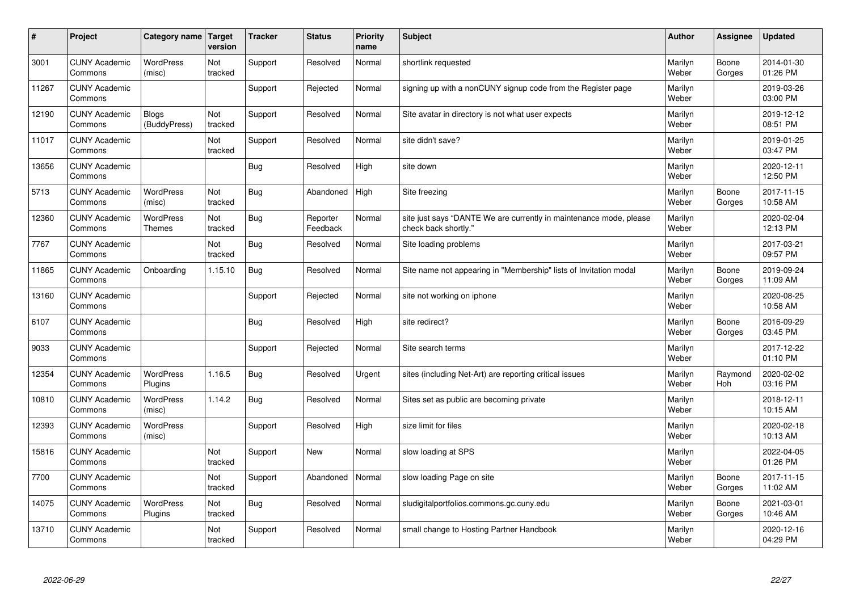| #     | Project                         | Category name   Target            | version        | <b>Tracker</b> | <b>Status</b>        | <b>Priority</b><br>name | <b>Subject</b>                                                                             | <b>Author</b>    | Assignee        | <b>Updated</b>         |
|-------|---------------------------------|-----------------------------------|----------------|----------------|----------------------|-------------------------|--------------------------------------------------------------------------------------------|------------------|-----------------|------------------------|
| 3001  | <b>CUNY Academic</b><br>Commons | <b>WordPress</b><br>(misc)        | Not<br>tracked | Support        | Resolved             | Normal                  | shortlink requested                                                                        | Marilyn<br>Weber | Boone<br>Gorges | 2014-01-30<br>01:26 PM |
| 11267 | <b>CUNY Academic</b><br>Commons |                                   |                | Support        | Rejected             | Normal                  | signing up with a nonCUNY signup code from the Register page                               | Marilyn<br>Weber |                 | 2019-03-26<br>03:00 PM |
| 12190 | <b>CUNY Academic</b><br>Commons | <b>Blogs</b><br>(BuddyPress)      | Not<br>tracked | Support        | Resolved             | Normal                  | Site avatar in directory is not what user expects                                          | Marilyn<br>Weber |                 | 2019-12-12<br>08:51 PM |
| 11017 | <b>CUNY Academic</b><br>Commons |                                   | Not<br>tracked | Support        | Resolved             | Normal                  | site didn't save?                                                                          | Marilyn<br>Weber |                 | 2019-01-25<br>03:47 PM |
| 13656 | <b>CUNY Academic</b><br>Commons |                                   |                | <b>Bug</b>     | Resolved             | High                    | site down                                                                                  | Marilyn<br>Weber |                 | 2020-12-11<br>12:50 PM |
| 5713  | <b>CUNY Academic</b><br>Commons | <b>WordPress</b><br>(misc)        | Not<br>tracked | <b>Bug</b>     | Abandoned            | High                    | Site freezing                                                                              | Marilyn<br>Weber | Boone<br>Gorges | 2017-11-15<br>10:58 AM |
| 12360 | <b>CUNY Academic</b><br>Commons | <b>WordPress</b><br><b>Themes</b> | Not<br>tracked | <b>Bug</b>     | Reporter<br>Feedback | Normal                  | site just says "DANTE We are currently in maintenance mode, please<br>check back shortly." | Marilyn<br>Weber |                 | 2020-02-04<br>12:13 PM |
| 7767  | <b>CUNY Academic</b><br>Commons |                                   | Not<br>tracked | <b>Bug</b>     | Resolved             | Normal                  | Site loading problems                                                                      | Marilyn<br>Weber |                 | 2017-03-21<br>09:57 PM |
| 11865 | <b>CUNY Academic</b><br>Commons | Onboarding                        | 1.15.10        | Bug            | Resolved             | Normal                  | Site name not appearing in "Membership" lists of Invitation modal                          | Marilyn<br>Weber | Boone<br>Gorges | 2019-09-24<br>11:09 AM |
| 13160 | <b>CUNY Academic</b><br>Commons |                                   |                | Support        | Rejected             | Normal                  | site not working on iphone                                                                 | Marilyn<br>Weber |                 | 2020-08-25<br>10:58 AM |
| 6107  | <b>CUNY Academic</b><br>Commons |                                   |                | Bug            | Resolved             | High                    | site redirect?                                                                             | Marilyn<br>Weber | Boone<br>Gorges | 2016-09-29<br>03:45 PM |
| 9033  | <b>CUNY Academic</b><br>Commons |                                   |                | Support        | Rejected             | Normal                  | Site search terms                                                                          | Marilyn<br>Weber |                 | 2017-12-22<br>01:10 PM |
| 12354 | <b>CUNY Academic</b><br>Commons | <b>WordPress</b><br>Plugins       | 1.16.5         | Bug            | Resolved             | Urgent                  | sites (including Net-Art) are reporting critical issues                                    | Marilyn<br>Weber | Raymond<br>Hoh  | 2020-02-02<br>03:16 PM |
| 10810 | <b>CUNY Academic</b><br>Commons | <b>WordPress</b><br>(misc)        | 1.14.2         | <b>Bug</b>     | Resolved             | Normal                  | Sites set as public are becoming private                                                   | Marilyn<br>Weber |                 | 2018-12-11<br>10:15 AM |
| 12393 | <b>CUNY Academic</b><br>Commons | WordPress<br>(misc)               |                | Support        | Resolved             | High                    | size limit for files                                                                       | Marilyn<br>Weber |                 | 2020-02-18<br>10:13 AM |
| 15816 | <b>CUNY Academic</b><br>Commons |                                   | Not<br>tracked | Support        | <b>New</b>           | Normal                  | slow loading at SPS                                                                        | Marilyn<br>Weber |                 | 2022-04-05<br>01:26 PM |
| 7700  | <b>CUNY Academic</b><br>Commons |                                   | Not<br>tracked | Support        | Abandoned            | Normal                  | slow loading Page on site                                                                  | Marilyn<br>Weber | Boone<br>Gorges | 2017-11-15<br>11:02 AM |
| 14075 | <b>CUNY Academic</b><br>Commons | <b>WordPress</b><br>Plugins       | Not<br>tracked | <b>Bug</b>     | Resolved             | Normal                  | sludigitalportfolios.commons.gc.cuny.edu                                                   | Marilyn<br>Weber | Boone<br>Gorges | 2021-03-01<br>10:46 AM |
| 13710 | <b>CUNY Academic</b><br>Commons |                                   | Not<br>tracked | Support        | Resolved             | Normal                  | small change to Hosting Partner Handbook                                                   | Marilyn<br>Weber |                 | 2020-12-16<br>04:29 PM |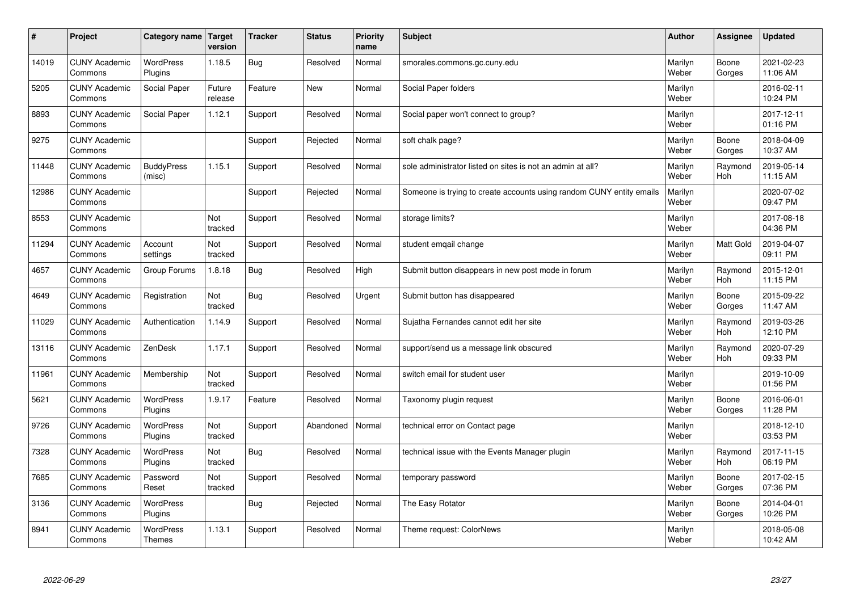| $\sharp$ | Project                         | Category name               | Target<br>version | <b>Tracker</b> | <b>Status</b> | <b>Priority</b><br>name | <b>Subject</b>                                                       | <b>Author</b>    | Assignee              | Updated                |
|----------|---------------------------------|-----------------------------|-------------------|----------------|---------------|-------------------------|----------------------------------------------------------------------|------------------|-----------------------|------------------------|
| 14019    | <b>CUNY Academic</b><br>Commons | <b>WordPress</b><br>Plugins | 1.18.5            | Bug            | Resolved      | Normal                  | smorales.commons.gc.cuny.edu                                         | Marilyn<br>Weber | Boone<br>Gorges       | 2021-02-23<br>11:06 AM |
| 5205     | <b>CUNY Academic</b><br>Commons | Social Paper                | Future<br>release | Feature        | New           | Normal                  | Social Paper folders                                                 | Marilyn<br>Weber |                       | 2016-02-11<br>10:24 PM |
| 8893     | <b>CUNY Academic</b><br>Commons | Social Paper                | 1.12.1            | Support        | Resolved      | Normal                  | Social paper won't connect to group?                                 | Marilyn<br>Weber |                       | 2017-12-11<br>01:16 PM |
| 9275     | <b>CUNY Academic</b><br>Commons |                             |                   | Support        | Rejected      | Normal                  | soft chalk page?                                                     | Marilyn<br>Weber | Boone<br>Gorges       | 2018-04-09<br>10:37 AM |
| 11448    | <b>CUNY Academic</b><br>Commons | <b>BuddyPress</b><br>(misc) | 1.15.1            | Support        | Resolved      | Normal                  | sole administrator listed on sites is not an admin at all?           | Marilyn<br>Weber | Raymond<br><b>Hoh</b> | 2019-05-14<br>11:15 AM |
| 12986    | <b>CUNY Academic</b><br>Commons |                             |                   | Support        | Rejected      | Normal                  | Someone is trying to create accounts using random CUNY entity emails | Marilyn<br>Weber |                       | 2020-07-02<br>09:47 PM |
| 8553     | <b>CUNY Academic</b><br>Commons |                             | Not<br>tracked    | Support        | Resolved      | Normal                  | storage limits?                                                      | Marilyn<br>Weber |                       | 2017-08-18<br>04:36 PM |
| 11294    | <b>CUNY Academic</b><br>Commons | Account<br>settings         | Not<br>tracked    | Support        | Resolved      | Normal                  | student emgail change                                                | Marilyn<br>Weber | Matt Gold             | 2019-04-07<br>09:11 PM |
| 4657     | <b>CUNY Academic</b><br>Commons | Group Forums                | 1.8.18            | <b>Bug</b>     | Resolved      | High                    | Submit button disappears in new post mode in forum                   | Marilyn<br>Weber | Raymond<br>Hoh        | 2015-12-01<br>11:15 PM |
| 4649     | <b>CUNY Academic</b><br>Commons | Registration                | Not<br>tracked    | Bug            | Resolved      | Urgent                  | Submit button has disappeared                                        | Marilyn<br>Weber | Boone<br>Gorges       | 2015-09-22<br>11:47 AM |
| 11029    | <b>CUNY Academic</b><br>Commons | Authentication              | 1.14.9            | Support        | Resolved      | Normal                  | Sujatha Fernandes cannot edit her site                               | Marilyn<br>Weber | Raymond<br><b>Hoh</b> | 2019-03-26<br>12:10 PM |
| 13116    | <b>CUNY Academic</b><br>Commons | ZenDesk                     | 1.17.1            | Support        | Resolved      | Normal                  | support/send us a message link obscured                              | Marilyn<br>Weber | Raymond<br>Hoh        | 2020-07-29<br>09:33 PM |
| 11961    | <b>CUNY Academic</b><br>Commons | Membership                  | Not<br>tracked    | Support        | Resolved      | Normal                  | switch email for student user                                        | Marilyn<br>Weber |                       | 2019-10-09<br>01:56 PM |
| 5621     | <b>CUNY Academic</b><br>Commons | <b>WordPress</b><br>Plugins | 1.9.17            | Feature        | Resolved      | Normal                  | Taxonomy plugin request                                              | Marilyn<br>Weber | Boone<br>Gorges       | 2016-06-01<br>11:28 PM |
| 9726     | <b>CUNY Academic</b><br>Commons | WordPress<br>Plugins        | Not<br>tracked    | Support        | Abandoned     | Normal                  | technical error on Contact page                                      | Marilyn<br>Weber |                       | 2018-12-10<br>03:53 PM |
| 7328     | <b>CUNY Academic</b><br>Commons | <b>WordPress</b><br>Plugins | Not<br>tracked    | Bug            | Resolved      | Normal                  | technical issue with the Events Manager plugin                       | Marilyn<br>Weber | Raymond<br>Hoh        | 2017-11-15<br>06:19 PM |
| 7685     | <b>CUNY Academic</b><br>Commons | Password<br>Reset           | Not<br>tracked    | Support        | Resolved      | Normal                  | temporary password                                                   | Marilyn<br>Weber | Boone<br>Gorges       | 2017-02-15<br>07:36 PM |
| 3136     | <b>CUNY Academic</b><br>Commons | WordPress<br>Plugins        |                   | <b>Bug</b>     | Rejected      | Normal                  | The Easy Rotator                                                     | Marilyn<br>Weber | Boone<br>Gorges       | 2014-04-01<br>10:26 PM |
| 8941     | <b>CUNY Academic</b><br>Commons | WordPress<br><b>Themes</b>  | 1.13.1            | Support        | Resolved      | Normal                  | Theme request: ColorNews                                             | Marilyn<br>Weber |                       | 2018-05-08<br>10:42 AM |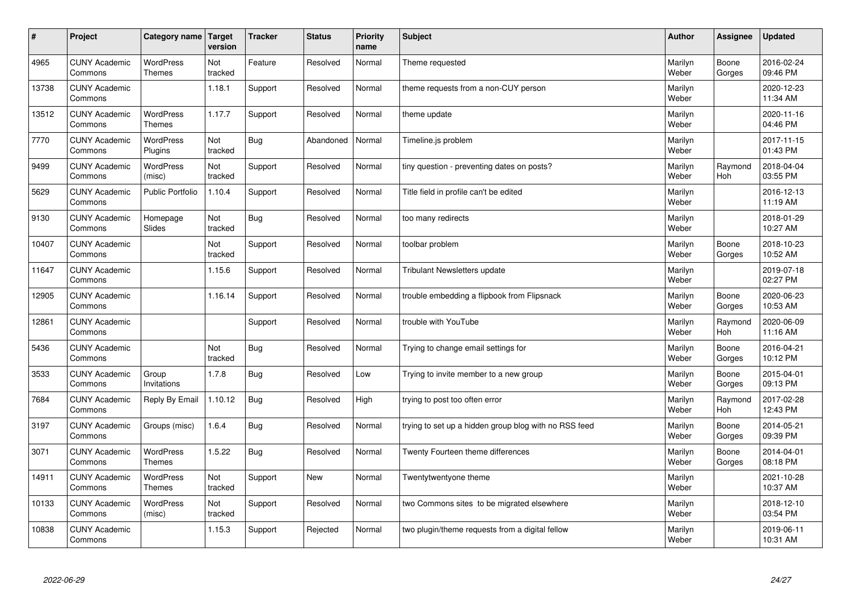| #     | Project                         | Category name                     | Target<br>version | <b>Tracker</b> | <b>Status</b> | <b>Priority</b><br>name | <b>Subject</b>                                        | <b>Author</b>    | Assignee              | <b>Updated</b>         |
|-------|---------------------------------|-----------------------------------|-------------------|----------------|---------------|-------------------------|-------------------------------------------------------|------------------|-----------------------|------------------------|
| 4965  | <b>CUNY Academic</b><br>Commons | <b>WordPress</b><br><b>Themes</b> | Not<br>tracked    | Feature        | Resolved      | Normal                  | Theme requested                                       | Marilyn<br>Weber | Boone<br>Gorges       | 2016-02-24<br>09:46 PM |
| 13738 | <b>CUNY Academic</b><br>Commons |                                   | 1.18.1            | Support        | Resolved      | Normal                  | theme requests from a non-CUY person                  | Marilyn<br>Weber |                       | 2020-12-23<br>11:34 AM |
| 13512 | <b>CUNY Academic</b><br>Commons | <b>WordPress</b><br><b>Themes</b> | 1.17.7            | Support        | Resolved      | Normal                  | theme update                                          | Marilyn<br>Weber |                       | 2020-11-16<br>04:46 PM |
| 7770  | <b>CUNY Academic</b><br>Commons | <b>WordPress</b><br>Plugins       | Not<br>tracked    | Bug            | Abandoned     | Normal                  | Timeline.js problem                                   | Marilyn<br>Weber |                       | 2017-11-15<br>01:43 PM |
| 9499  | <b>CUNY Academic</b><br>Commons | <b>WordPress</b><br>(misc)        | Not<br>tracked    | Support        | Resolved      | Normal                  | tiny question - preventing dates on posts?            | Marilyn<br>Weber | Raymond<br>Hoh        | 2018-04-04<br>03:55 PM |
| 5629  | <b>CUNY Academic</b><br>Commons | <b>Public Portfolio</b>           | 1.10.4            | Support        | Resolved      | Normal                  | Title field in profile can't be edited                | Marilyn<br>Weber |                       | 2016-12-13<br>11:19 AM |
| 9130  | <b>CUNY Academic</b><br>Commons | Homepage<br>Slides                | Not<br>tracked    | Bug            | Resolved      | Normal                  | too many redirects                                    | Marilyn<br>Weber |                       | 2018-01-29<br>10:27 AM |
| 10407 | <b>CUNY Academic</b><br>Commons |                                   | Not<br>tracked    | Support        | Resolved      | Normal                  | toolbar problem                                       | Marilyn<br>Weber | Boone<br>Gorges       | 2018-10-23<br>10:52 AM |
| 11647 | <b>CUNY Academic</b><br>Commons |                                   | 1.15.6            | Support        | Resolved      | Normal                  | <b>Tribulant Newsletters update</b>                   | Marilyn<br>Weber |                       | 2019-07-18<br>02:27 PM |
| 12905 | <b>CUNY Academic</b><br>Commons |                                   | 1.16.14           | Support        | Resolved      | Normal                  | trouble embedding a flipbook from Flipsnack           | Marilyn<br>Weber | Boone<br>Gorges       | 2020-06-23<br>10:53 AM |
| 12861 | <b>CUNY Academic</b><br>Commons |                                   |                   | Support        | Resolved      | Normal                  | trouble with YouTube                                  | Marilyn<br>Weber | Raymond<br>Hoh        | 2020-06-09<br>11:16 AM |
| 5436  | <b>CUNY Academic</b><br>Commons |                                   | Not<br>tracked    | Bug            | Resolved      | Normal                  | Trying to change email settings for                   | Marilyn<br>Weber | Boone<br>Gorges       | 2016-04-21<br>10:12 PM |
| 3533  | <b>CUNY Academic</b><br>Commons | Group<br>Invitations              | 1.7.8             | Bug            | Resolved      | Low                     | Trying to invite member to a new group                | Marilyn<br>Weber | Boone<br>Gorges       | 2015-04-01<br>09:13 PM |
| 7684  | <b>CUNY Academic</b><br>Commons | Reply By Email                    | 1.10.12           | Bug            | Resolved      | High                    | trying to post too often error                        | Marilyn<br>Weber | Raymond<br><b>Hoh</b> | 2017-02-28<br>12:43 PM |
| 3197  | <b>CUNY Academic</b><br>Commons | Groups (misc)                     | 1.6.4             | <b>Bug</b>     | Resolved      | Normal                  | trying to set up a hidden group blog with no RSS feed | Marilyn<br>Weber | Boone<br>Gorges       | 2014-05-21<br>09:39 PM |
| 3071  | <b>CUNY Academic</b><br>Commons | <b>WordPress</b><br><b>Themes</b> | 1.5.22            | Bug            | Resolved      | Normal                  | Twenty Fourteen theme differences                     | Marilyn<br>Weber | Boone<br>Gorges       | 2014-04-01<br>08:18 PM |
| 14911 | <b>CUNY Academic</b><br>Commons | WordPress<br>Themes               | Not<br>tracked    | Support        | <b>New</b>    | Normal                  | Twentytwentyone theme                                 | Marilyn<br>Weber |                       | 2021-10-28<br>10:37 AM |
| 10133 | <b>CUNY Academic</b><br>Commons | WordPress<br>(misc)               | Not<br>tracked    | Support        | Resolved      | Normal                  | two Commons sites to be migrated elsewhere            | Marilyn<br>Weber |                       | 2018-12-10<br>03:54 PM |
| 10838 | <b>CUNY Academic</b><br>Commons |                                   | 1.15.3            | Support        | Rejected      | Normal                  | two plugin/theme requests from a digital fellow       | Marilyn<br>Weber |                       | 2019-06-11<br>10:31 AM |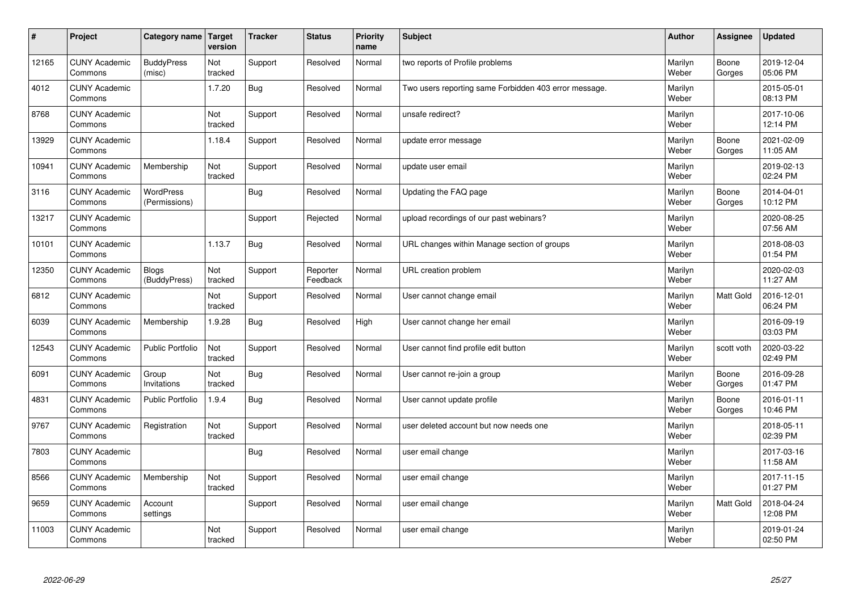| #     | Project                         | Category name   Target            | version        | <b>Tracker</b> | <b>Status</b>        | <b>Priority</b><br>name | <b>Subject</b>                                        | <b>Author</b>    | <b>Assignee</b>  | <b>Updated</b>         |
|-------|---------------------------------|-----------------------------------|----------------|----------------|----------------------|-------------------------|-------------------------------------------------------|------------------|------------------|------------------------|
| 12165 | <b>CUNY Academic</b><br>Commons | <b>BuddyPress</b><br>(misc)       | Not<br>tracked | Support        | Resolved             | Normal                  | two reports of Profile problems                       | Marilyn<br>Weber | Boone<br>Gorges  | 2019-12-04<br>05:06 PM |
| 4012  | <b>CUNY Academic</b><br>Commons |                                   | 1.7.20         | Bug            | Resolved             | Normal                  | Two users reporting same Forbidden 403 error message. | Marilyn<br>Weber |                  | 2015-05-01<br>08:13 PM |
| 8768  | <b>CUNY Academic</b><br>Commons |                                   | Not<br>tracked | Support        | Resolved             | Normal                  | unsafe redirect?                                      | Marilyn<br>Weber |                  | 2017-10-06<br>12:14 PM |
| 13929 | <b>CUNY Academic</b><br>Commons |                                   | 1.18.4         | Support        | Resolved             | Normal                  | update error message                                  | Marilyn<br>Weber | Boone<br>Gorges  | 2021-02-09<br>11:05 AM |
| 10941 | <b>CUNY Academic</b><br>Commons | Membership                        | Not<br>tracked | Support        | Resolved             | Normal                  | update user email                                     | Marilyn<br>Weber |                  | 2019-02-13<br>02:24 PM |
| 3116  | <b>CUNY Academic</b><br>Commons | <b>WordPress</b><br>(Permissions) |                | Bug            | Resolved             | Normal                  | Updating the FAQ page                                 | Marilyn<br>Weber | Boone<br>Gorges  | 2014-04-01<br>10:12 PM |
| 13217 | <b>CUNY Academic</b><br>Commons |                                   |                | Support        | Rejected             | Normal                  | upload recordings of our past webinars?               | Marilyn<br>Weber |                  | 2020-08-25<br>07:56 AM |
| 10101 | <b>CUNY Academic</b><br>Commons |                                   | 1.13.7         | <b>Bug</b>     | Resolved             | Normal                  | URL changes within Manage section of groups           | Marilyn<br>Weber |                  | 2018-08-03<br>01:54 PM |
| 12350 | <b>CUNY Academic</b><br>Commons | <b>Blogs</b><br>(BuddyPress)      | Not<br>tracked | Support        | Reporter<br>Feedback | Normal                  | URL creation problem                                  | Marilyn<br>Weber |                  | 2020-02-03<br>11:27 AM |
| 6812  | <b>CUNY Academic</b><br>Commons |                                   | Not<br>tracked | Support        | Resolved             | Normal                  | User cannot change email                              | Marilyn<br>Weber | Matt Gold        | 2016-12-01<br>06:24 PM |
| 6039  | <b>CUNY Academic</b><br>Commons | Membership                        | 1.9.28         | Bug            | Resolved             | High                    | User cannot change her email                          | Marilyn<br>Weber |                  | 2016-09-19<br>03:03 PM |
| 12543 | <b>CUNY Academic</b><br>Commons | <b>Public Portfolio</b>           | Not<br>tracked | Support        | Resolved             | Normal                  | User cannot find profile edit button                  | Marilyn<br>Weber | scott voth       | 2020-03-22<br>02:49 PM |
| 6091  | <b>CUNY Academic</b><br>Commons | Group<br>Invitations              | Not<br>tracked | Bug            | Resolved             | Normal                  | User cannot re-join a group                           | Marilyn<br>Weber | Boone<br>Gorges  | 2016-09-28<br>01:47 PM |
| 4831  | <b>CUNY Academic</b><br>Commons | Public Portfolio                  | 1.9.4          | <b>Bug</b>     | Resolved             | Normal                  | User cannot update profile                            | Marilyn<br>Weber | Boone<br>Gorges  | 2016-01-11<br>10:46 PM |
| 9767  | <b>CUNY Academic</b><br>Commons | Registration                      | Not<br>tracked | Support        | Resolved             | Normal                  | user deleted account but now needs one                | Marilyn<br>Weber |                  | 2018-05-11<br>02:39 PM |
| 7803  | <b>CUNY Academic</b><br>Commons |                                   |                | Bug            | Resolved             | Normal                  | user email change                                     | Marilyn<br>Weber |                  | 2017-03-16<br>11:58 AM |
| 8566  | <b>CUNY Academic</b><br>Commons | Membership                        | Not<br>tracked | Support        | Resolved             | Normal                  | user email change                                     | Marilyn<br>Weber |                  | 2017-11-15<br>01:27 PM |
| 9659  | <b>CUNY Academic</b><br>Commons | Account<br>settings               |                | Support        | Resolved             | Normal                  | user email change                                     | Marilyn<br>Weber | <b>Matt Gold</b> | 2018-04-24<br>12:08 PM |
| 11003 | <b>CUNY Academic</b><br>Commons |                                   | Not<br>tracked | Support        | Resolved             | Normal                  | user email change                                     | Marilyn<br>Weber |                  | 2019-01-24<br>02:50 PM |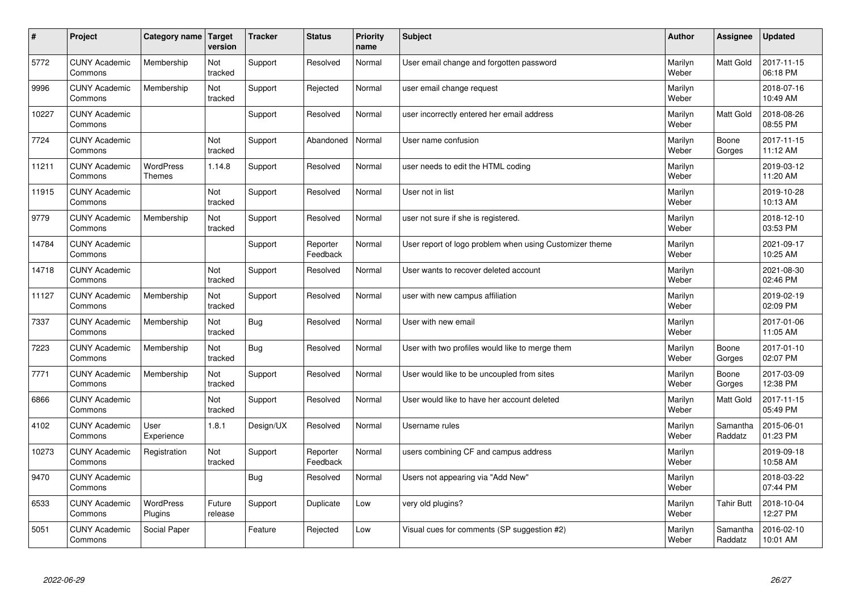| $\sharp$ | Project                         | Category name   Target            | version           | <b>Tracker</b> | <b>Status</b>        | <b>Priority</b><br>name | <b>Subject</b>                                          | <b>Author</b>    | <b>Assignee</b>     | <b>Updated</b>         |
|----------|---------------------------------|-----------------------------------|-------------------|----------------|----------------------|-------------------------|---------------------------------------------------------|------------------|---------------------|------------------------|
| 5772     | <b>CUNY Academic</b><br>Commons | Membership                        | Not<br>tracked    | Support        | Resolved             | Normal                  | User email change and forgotten password                | Marilyn<br>Weber | <b>Matt Gold</b>    | 2017-11-15<br>06:18 PM |
| 9996     | <b>CUNY Academic</b><br>Commons | Membership                        | Not<br>tracked    | Support        | Rejected             | Normal                  | user email change request                               | Marilyn<br>Weber |                     | 2018-07-16<br>10:49 AM |
| 10227    | <b>CUNY Academic</b><br>Commons |                                   |                   | Support        | Resolved             | Normal                  | user incorrectly entered her email address              | Marilyn<br>Weber | <b>Matt Gold</b>    | 2018-08-26<br>08:55 PM |
| 7724     | <b>CUNY Academic</b><br>Commons |                                   | Not<br>tracked    | Support        | Abandoned            | Normal                  | User name confusion                                     | Marilyn<br>Weber | Boone<br>Gorges     | 2017-11-15<br>11:12 AM |
| 11211    | <b>CUNY Academic</b><br>Commons | <b>WordPress</b><br><b>Themes</b> | 1.14.8            | Support        | Resolved             | Normal                  | user needs to edit the HTML coding                      | Marilyn<br>Weber |                     | 2019-03-12<br>11:20 AM |
| 11915    | <b>CUNY Academic</b><br>Commons |                                   | Not<br>tracked    | Support        | Resolved             | Normal                  | User not in list                                        | Marilyn<br>Weber |                     | 2019-10-28<br>10:13 AM |
| 9779     | <b>CUNY Academic</b><br>Commons | Membership                        | Not<br>tracked    | Support        | Resolved             | Normal                  | user not sure if she is registered.                     | Marilyn<br>Weber |                     | 2018-12-10<br>03:53 PM |
| 14784    | <b>CUNY Academic</b><br>Commons |                                   |                   | Support        | Reporter<br>Feedback | Normal                  | User report of logo problem when using Customizer theme | Marilyn<br>Weber |                     | 2021-09-17<br>10:25 AM |
| 14718    | <b>CUNY Academic</b><br>Commons |                                   | Not<br>tracked    | Support        | Resolved             | Normal                  | User wants to recover deleted account                   | Marilyn<br>Weber |                     | 2021-08-30<br>02:46 PM |
| 11127    | <b>CUNY Academic</b><br>Commons | Membership                        | Not<br>tracked    | Support        | Resolved             | Normal                  | user with new campus affiliation                        | Marilyn<br>Weber |                     | 2019-02-19<br>02:09 PM |
| 7337     | <b>CUNY Academic</b><br>Commons | Membership                        | Not<br>tracked    | Bug            | Resolved             | Normal                  | User with new email                                     | Marilyn<br>Weber |                     | 2017-01-06<br>11:05 AM |
| 7223     | <b>CUNY Academic</b><br>Commons | Membership                        | Not<br>tracked    | <b>Bug</b>     | Resolved             | Normal                  | User with two profiles would like to merge them         | Marilyn<br>Weber | Boone<br>Gorges     | 2017-01-10<br>02:07 PM |
| 7771     | <b>CUNY Academic</b><br>Commons | Membership                        | Not<br>tracked    | Support        | Resolved             | Normal                  | User would like to be uncoupled from sites              | Marilyn<br>Weber | Boone<br>Gorges     | 2017-03-09<br>12:38 PM |
| 6866     | <b>CUNY Academic</b><br>Commons |                                   | Not<br>tracked    | Support        | Resolved             | Normal                  | User would like to have her account deleted             | Marilyn<br>Weber | Matt Gold           | 2017-11-15<br>05:49 PM |
| 4102     | <b>CUNY Academic</b><br>Commons | User<br>Experience                | 1.8.1             | Design/UX      | Resolved             | Normal                  | Username rules                                          | Marilyn<br>Weber | Samantha<br>Raddatz | 2015-06-01<br>01:23 PM |
| 10273    | <b>CUNY Academic</b><br>Commons | Registration                      | Not<br>tracked    | Support        | Reporter<br>Feedback | Normal                  | users combining CF and campus address                   | Marilyn<br>Weber |                     | 2019-09-18<br>10:58 AM |
| 9470     | <b>CUNY Academic</b><br>Commons |                                   |                   | Bug            | Resolved             | Normal                  | Users not appearing via "Add New"                       | Marilyn<br>Weber |                     | 2018-03-22<br>07:44 PM |
| 6533     | <b>CUNY Academic</b><br>Commons | <b>WordPress</b><br>Plugins       | Future<br>release | Support        | Duplicate            | Low                     | very old plugins?                                       | Marilyn<br>Weber | <b>Tahir Butt</b>   | 2018-10-04<br>12:27 PM |
| 5051     | <b>CUNY Academic</b><br>Commons | Social Paper                      |                   | Feature        | Rejected             | Low                     | Visual cues for comments (SP suggestion #2)             | Marilyn<br>Weber | Samantha<br>Raddatz | 2016-02-10<br>10:01 AM |